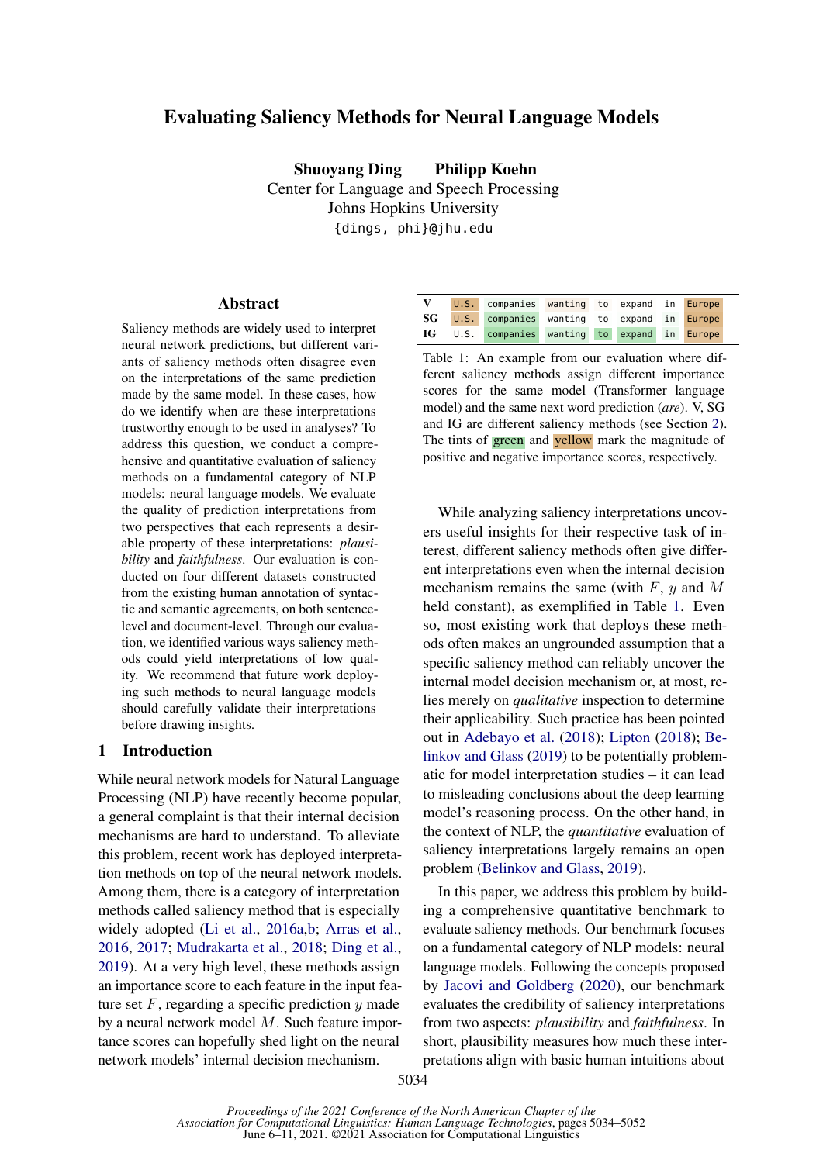# Evaluating Saliency Methods for Neural Language Models

Shuoyang Ding Philipp Koehn Center for Language and Speech Processing Johns Hopkins University {dings, phi}@jhu.edu

#### Abstract

Saliency methods are widely used to interpret neural network predictions, but different variants of saliency methods often disagree even on the interpretations of the same prediction made by the same model. In these cases, how do we identify when are these interpretations trustworthy enough to be used in analyses? To address this question, we conduct a comprehensive and quantitative evaluation of saliency methods on a fundamental category of NLP models: neural language models. We evaluate the quality of prediction interpretations from two perspectives that each represents a desirable property of these interpretations: *plausibility* and *faithfulness*. Our evaluation is conducted on four different datasets constructed from the existing human annotation of syntactic and semantic agreements, on both sentencelevel and document-level. Through our evaluation, we identified various ways saliency methods could yield interpretations of low quality. We recommend that future work deploying such methods to neural language models should carefully validate their interpretations before drawing insights.

#### 1 Introduction

While neural network models for Natural Language Processing (NLP) have recently become popular, a general complaint is that their internal decision mechanisms are hard to understand. To alleviate this problem, recent work has deployed interpretation methods on top of the neural network models. Among them, there is a category of interpretation methods called saliency method that is especially widely adopted [\(Li et al.,](#page-9-0) [2016a,](#page-9-0)[b;](#page-10-0) [Arras et al.,](#page-8-0) [2016,](#page-8-0) [2017;](#page-8-1) [Mudrakarta et al.,](#page-10-1) [2018;](#page-10-1) [Ding et al.,](#page-9-1) [2019\)](#page-9-1). At a very high level, these methods assign an importance score to each feature in the input feature set  $F$ , regarding a specific prediction  $y$  made by a neural network model M. Such feature importance scores can hopefully shed light on the neural network models' internal decision mechanism.

<span id="page-0-0"></span>

|  | V U.S. companies wanting to expand in Europe  |  |  |  |
|--|-----------------------------------------------|--|--|--|
|  | SG U.S. companies wanting to expand in Europe |  |  |  |
|  | IG U.S. companies wanting to expand in Europe |  |  |  |

Table 1: An example from our evaluation where different saliency methods assign different importance scores for the same model (Transformer language model) and the same next word prediction (*are*). V, SG and IG are different saliency methods (see Section [2\)](#page-1-0). The tints of **green** and yellow mark the magnitude of positive and negative importance scores, respectively.

While analyzing saliency interpretations uncovers useful insights for their respective task of interest, different saliency methods often give different interpretations even when the internal decision mechanism remains the same (with  $F$ ,  $y$  and  $M$ held constant), as exemplified in Table [1.](#page-0-0) Even so, most existing work that deploys these methods often makes an ungrounded assumption that a specific saliency method can reliably uncover the internal model decision mechanism or, at most, relies merely on *qualitative* inspection to determine their applicability. Such practice has been pointed out in [Adebayo et al.](#page-8-2) [\(2018\)](#page-8-2); [Lipton](#page-10-2) [\(2018\)](#page-10-2); [Be](#page-8-3)[linkov and Glass](#page-8-3) [\(2019\)](#page-8-3) to be potentially problematic for model interpretation studies – it can lead to misleading conclusions about the deep learning model's reasoning process. On the other hand, in the context of NLP, the *quantitative* evaluation of saliency interpretations largely remains an open problem [\(Belinkov and Glass,](#page-8-3) [2019\)](#page-8-3).

In this paper, we address this problem by building a comprehensive quantitative benchmark to evaluate saliency methods. Our benchmark focuses on a fundamental category of NLP models: neural language models. Following the concepts proposed by [Jacovi and Goldberg](#page-9-2) [\(2020\)](#page-9-2), our benchmark evaluates the credibility of saliency interpretations from two aspects: *plausibility* and *faithfulness*. In short, plausibility measures how much these interpretations align with basic human intuitions about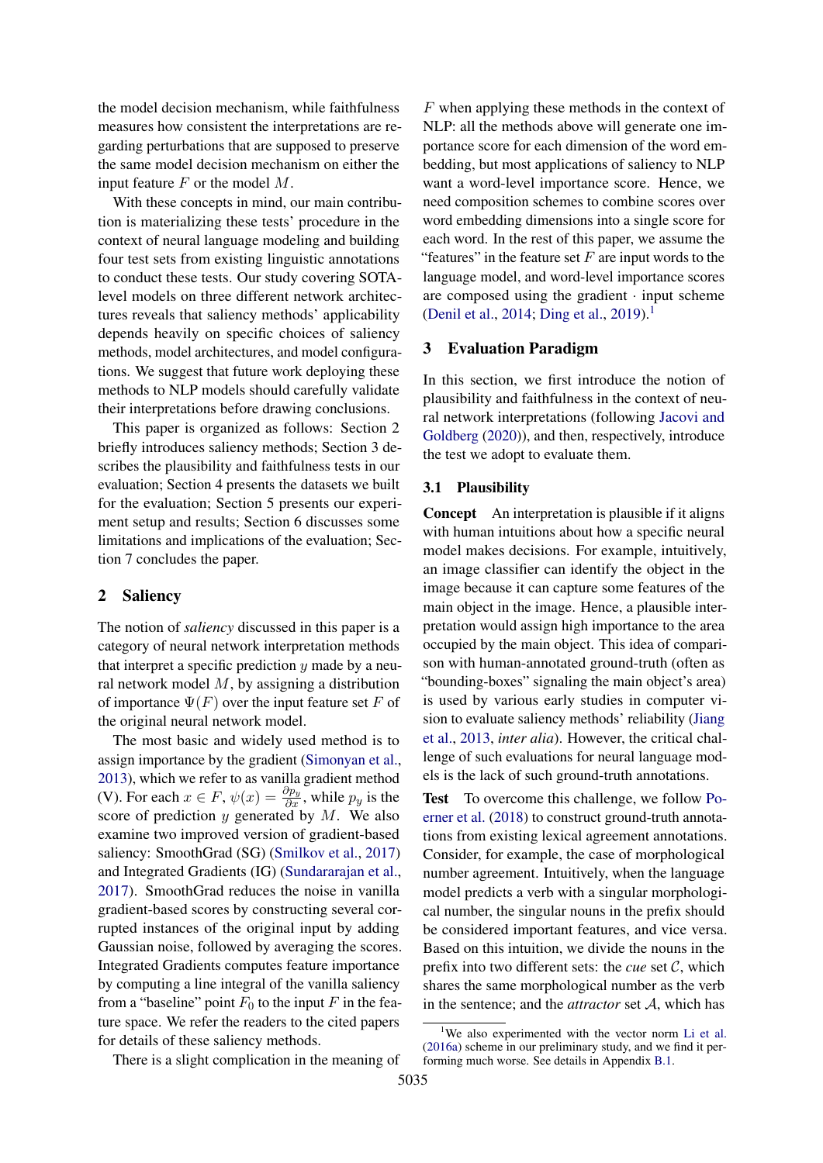the model decision mechanism, while faithfulness measures how consistent the interpretations are regarding perturbations that are supposed to preserve the same model decision mechanism on either the input feature  $F$  or the model  $M$ .

With these concepts in mind, our main contribution is materializing these tests' procedure in the context of neural language modeling and building four test sets from existing linguistic annotations to conduct these tests. Our study covering SOTAlevel models on three different network architectures reveals that saliency methods' applicability depends heavily on specific choices of saliency methods, model architectures, and model configurations. We suggest that future work deploying these methods to NLP models should carefully validate their interpretations before drawing conclusions.

This paper is organized as follows: Section 2 briefly introduces saliency methods; Section 3 describes the plausibility and faithfulness tests in our evaluation; Section 4 presents the datasets we built for the evaluation; Section 5 presents our experiment setup and results; Section 6 discusses some limitations and implications of the evaluation; Section 7 concludes the paper.

#### <span id="page-1-0"></span>2 Saliency

The notion of *saliency* discussed in this paper is a category of neural network interpretation methods that interpret a specific prediction  $y$  made by a neural network model  $M$ , by assigning a distribution of importance  $\Psi(F)$  over the input feature set F of the original neural network model.

The most basic and widely used method is to assign importance by the gradient [\(Simonyan et al.,](#page-10-3) [2013\)](#page-10-3), which we refer to as vanilla gradient method (V). For each  $x \in F$ ,  $\psi(x) = \frac{\partial p_y}{\partial x}$ , while  $p_y$  is the score of prediction  $y$  generated by  $M$ . We also examine two improved version of gradient-based saliency: SmoothGrad (SG) [\(Smilkov et al.,](#page-10-4) [2017\)](#page-10-4) and Integrated Gradients (IG) [\(Sundararajan et al.,](#page-10-5) [2017\)](#page-10-5). SmoothGrad reduces the noise in vanilla gradient-based scores by constructing several corrupted instances of the original input by adding Gaussian noise, followed by averaging the scores. Integrated Gradients computes feature importance by computing a line integral of the vanilla saliency from a "baseline" point  $F_0$  to the input F in the feature space. We refer the readers to the cited papers for details of these saliency methods.

There is a slight complication in the meaning of

F when applying these methods in the context of NLP: all the methods above will generate one importance score for each dimension of the word embedding, but most applications of saliency to NLP want a word-level importance score. Hence, we need composition schemes to combine scores over word embedding dimensions into a single score for each word. In the rest of this paper, we assume the "features" in the feature set  $F$  are input words to the language model, and word-level importance scores are composed using the gradient  $\cdot$  input scheme [\(Denil et al.,](#page-9-3) [2014;](#page-9-3) [Ding et al.,](#page-9-1) [2019\)](#page-9-1).<sup>[1](#page-1-1)</sup>

## <span id="page-1-2"></span>3 Evaluation Paradigm

In this section, we first introduce the notion of plausibility and faithfulness in the context of neural network interpretations (following [Jacovi and](#page-9-2) [Goldberg](#page-9-2) [\(2020\)](#page-9-2)), and then, respectively, introduce the test we adopt to evaluate them.

#### 3.1 Plausibility

Concept An interpretation is plausible if it aligns with human intuitions about how a specific neural model makes decisions. For example, intuitively, an image classifier can identify the object in the image because it can capture some features of the main object in the image. Hence, a plausible interpretation would assign high importance to the area occupied by the main object. This idea of comparison with human-annotated ground-truth (often as "bounding-boxes" signaling the main object's area) is used by various early studies in computer vision to evaluate saliency methods' reliability [\(Jiang](#page-9-4) [et al.,](#page-9-4) [2013,](#page-9-4) *inter alia*). However, the critical challenge of such evaluations for neural language models is the lack of such ground-truth annotations.

Test To overcome this challenge, we follow [Po](#page-10-6)[erner et al.](#page-10-6) [\(2018\)](#page-10-6) to construct ground-truth annotations from existing lexical agreement annotations. Consider, for example, the case of morphological number agreement. Intuitively, when the language model predicts a verb with a singular morphological number, the singular nouns in the prefix should be considered important features, and vice versa. Based on this intuition, we divide the nouns in the prefix into two different sets: the *cue* set C, which shares the same morphological number as the verb in the sentence; and the *attractor* set A, which has

<span id="page-1-1"></span><sup>&</sup>lt;sup>1</sup>We also experimented with the vector norm [Li et al.](#page-9-0) [\(2016a\)](#page-9-0) scheme in our preliminary study, and we find it performing much worse. See details in Appendix [B.1.](#page-13-0)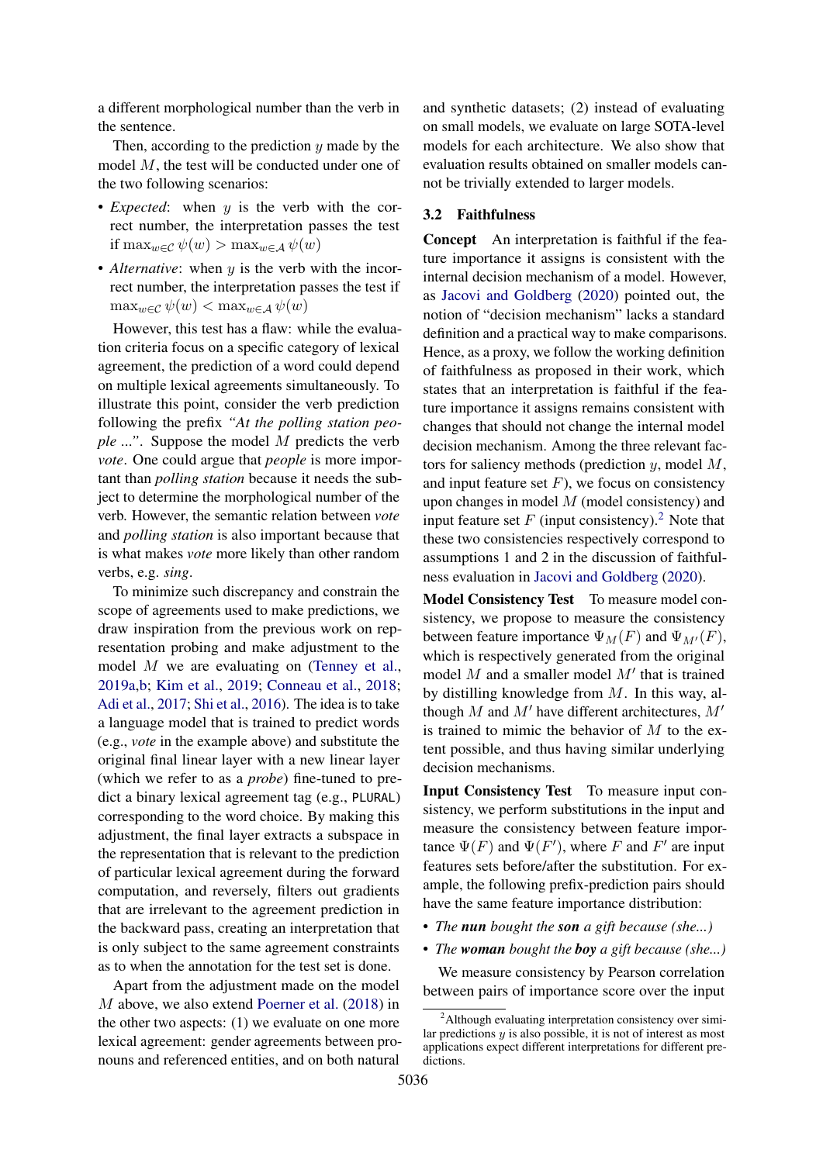a different morphological number than the verb in the sentence.

Then, according to the prediction  $y$  made by the model M, the test will be conducted under one of the two following scenarios:

- *Expected*: when y is the verb with the correct number, the interpretation passes the test if  $\max_{w \in \mathcal{C}} \psi(w) > \max_{w \in \mathcal{A}} \psi(w)$
- *Alternative*: when y is the verb with the incorrect number, the interpretation passes the test if  $\max_{w \in \mathcal{C}} \psi(w) < \max_{w \in \mathcal{A}} \psi(w)$

However, this test has a flaw: while the evaluation criteria focus on a specific category of lexical agreement, the prediction of a word could depend on multiple lexical agreements simultaneously. To illustrate this point, consider the verb prediction following the prefix *"At the polling station people ..."*. Suppose the model M predicts the verb *vote*. One could argue that *people* is more important than *polling station* because it needs the subject to determine the morphological number of the verb. However, the semantic relation between *vote* and *polling station* is also important because that is what makes *vote* more likely than other random verbs, e.g. *sing*.

To minimize such discrepancy and constrain the scope of agreements used to make predictions, we draw inspiration from the previous work on representation probing and make adjustment to the model M we are evaluating on [\(Tenney et al.,](#page-10-7) [2019a,](#page-10-7)[b;](#page-10-8) [Kim et al.,](#page-9-5) [2019;](#page-9-5) [Conneau et al.,](#page-9-6) [2018;](#page-9-6) [Adi et al.,](#page-8-4) [2017;](#page-8-4) [Shi et al.,](#page-10-9) [2016\)](#page-10-9). The idea is to take a language model that is trained to predict words (e.g., *vote* in the example above) and substitute the original final linear layer with a new linear layer (which we refer to as a *probe*) fine-tuned to predict a binary lexical agreement tag (e.g., PLURAL) corresponding to the word choice. By making this adjustment, the final layer extracts a subspace in the representation that is relevant to the prediction of particular lexical agreement during the forward computation, and reversely, filters out gradients that are irrelevant to the agreement prediction in the backward pass, creating an interpretation that is only subject to the same agreement constraints as to when the annotation for the test set is done.

Apart from the adjustment made on the model M above, we also extend [Poerner et al.](#page-10-6) [\(2018\)](#page-10-6) in the other two aspects: (1) we evaluate on one more lexical agreement: gender agreements between pronouns and referenced entities, and on both natural

and synthetic datasets; (2) instead of evaluating on small models, we evaluate on large SOTA-level models for each architecture. We also show that evaluation results obtained on smaller models cannot be trivially extended to larger models.

#### 3.2 Faithfulness

Concept An interpretation is faithful if the feature importance it assigns is consistent with the internal decision mechanism of a model. However, as [Jacovi and Goldberg](#page-9-2) [\(2020\)](#page-9-2) pointed out, the notion of "decision mechanism" lacks a standard definition and a practical way to make comparisons. Hence, as a proxy, we follow the working definition of faithfulness as proposed in their work, which states that an interpretation is faithful if the feature importance it assigns remains consistent with changes that should not change the internal model decision mechanism. Among the three relevant factors for saliency methods (prediction  $y$ , model  $M$ , and input feature set  $F$ ), we focus on consistency upon changes in model  $M$  (model consistency) and input feature set  $F$  (input consistency).<sup>[2](#page-2-0)</sup> Note that these two consistencies respectively correspond to assumptions 1 and 2 in the discussion of faithfulness evaluation in [Jacovi and Goldberg](#page-9-2) [\(2020\)](#page-9-2).

Model Consistency Test To measure model consistency, we propose to measure the consistency between feature importance  $\Psi_M(F)$  and  $\Psi_{M'}(F)$ , which is respectively generated from the original model  $M$  and a smaller model  $M'$  that is trained by distilling knowledge from M. In this way, although M and M' have different architectures,  $M'$ is trained to mimic the behavior of  $M$  to the extent possible, and thus having similar underlying decision mechanisms.

Input Consistency Test To measure input consistency, we perform substitutions in the input and measure the consistency between feature importance  $\Psi(F)$  and  $\Psi(F')$ , where F and F' are input features sets before/after the substitution. For example, the following prefix-prediction pairs should have the same feature importance distribution:

- *The nun bought the son a gift because (she...)*
- *The woman bought the boy a gift because (she...)*

We measure consistency by Pearson correlation between pairs of importance score over the input

<span id="page-2-0"></span><sup>&</sup>lt;sup>2</sup>Although evaluating interpretation consistency over similar predictions y is also possible, it is not of interest as most applications expect different interpretations for different predictions.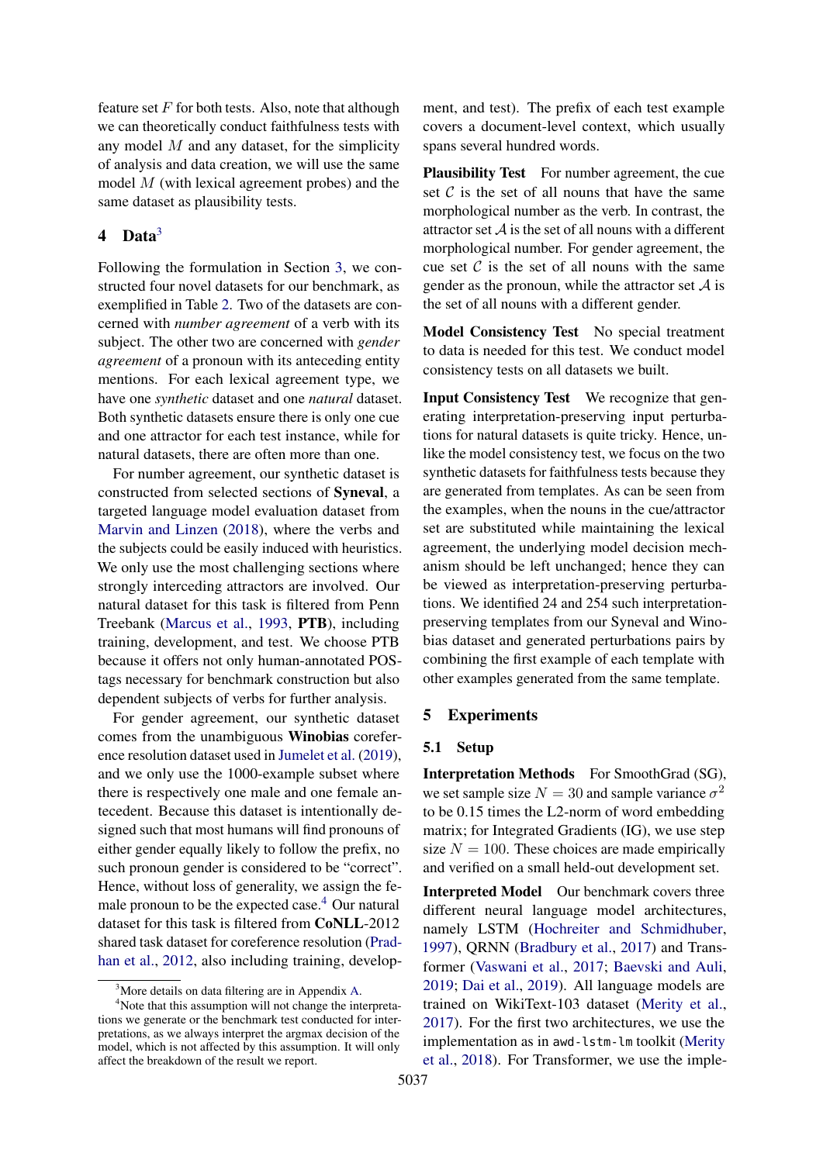feature set  $F$  for both tests. Also, note that although we can theoretically conduct faithfulness tests with any model  $M$  and any dataset, for the simplicity of analysis and data creation, we will use the same model M (with lexical agreement probes) and the same dataset as plausibility tests.

## 4 Data<sup>[3](#page-3-0)</sup>

Following the formulation in Section [3,](#page-1-2) we constructed four novel datasets for our benchmark, as exemplified in Table [2.](#page-4-0) Two of the datasets are concerned with *number agreement* of a verb with its subject. The other two are concerned with *gender agreement* of a pronoun with its anteceding entity mentions. For each lexical agreement type, we have one *synthetic* dataset and one *natural* dataset. Both synthetic datasets ensure there is only one cue and one attractor for each test instance, while for natural datasets, there are often more than one.

For number agreement, our synthetic dataset is constructed from selected sections of Syneval, a targeted language model evaluation dataset from [Marvin and Linzen](#page-10-10) [\(2018\)](#page-10-10), where the verbs and the subjects could be easily induced with heuristics. We only use the most challenging sections where strongly interceding attractors are involved. Our natural dataset for this task is filtered from Penn Treebank [\(Marcus et al.,](#page-10-11) [1993,](#page-10-11) PTB), including training, development, and test. We choose PTB because it offers not only human-annotated POStags necessary for benchmark construction but also dependent subjects of verbs for further analysis.

For gender agreement, our synthetic dataset comes from the unambiguous Winobias coreference resolution dataset used in [Jumelet et al.](#page-9-7) [\(2019\)](#page-9-7), and we only use the 1000-example subset where there is respectively one male and one female antecedent. Because this dataset is intentionally designed such that most humans will find pronouns of either gender equally likely to follow the prefix, no such pronoun gender is considered to be "correct". Hence, without loss of generality, we assign the fe-male pronoun to be the expected case.<sup>[4](#page-3-1)</sup> Our natural dataset for this task is filtered from CoNLL-2012 shared task dataset for coreference resolution [\(Prad](#page-10-12)[han et al.,](#page-10-12) [2012,](#page-10-12) also including training, development, and test). The prefix of each test example covers a document-level context, which usually spans several hundred words.

Plausibility Test For number agreement, the cue set  $C$  is the set of all nouns that have the same morphological number as the verb. In contrast, the attractor set  $A$  is the set of all nouns with a different morphological number. For gender agreement, the cue set  $\mathcal C$  is the set of all nouns with the same gender as the pronoun, while the attractor set  $A$  is the set of all nouns with a different gender.

Model Consistency Test No special treatment to data is needed for this test. We conduct model consistency tests on all datasets we built.

Input Consistency Test We recognize that generating interpretation-preserving input perturbations for natural datasets is quite tricky. Hence, unlike the model consistency test, we focus on the two synthetic datasets for faithfulness tests because they are generated from templates. As can be seen from the examples, when the nouns in the cue/attractor set are substituted while maintaining the lexical agreement, the underlying model decision mechanism should be left unchanged; hence they can be viewed as interpretation-preserving perturbations. We identified 24 and 254 such interpretationpreserving templates from our Syneval and Winobias dataset and generated perturbations pairs by combining the first example of each template with other examples generated from the same template.

#### 5 Experiments

#### 5.1 Setup

Interpretation Methods For SmoothGrad (SG), we set sample size  $N = 30$  and sample variance  $\sigma^2$ to be 0.15 times the L2-norm of word embedding matrix; for Integrated Gradients (IG), we use step size  $N = 100$ . These choices are made empirically and verified on a small held-out development set.

Interpreted Model Our benchmark covers three different neural language model architectures, namely LSTM [\(Hochreiter and Schmidhuber,](#page-9-8) [1997\)](#page-9-8), QRNN [\(Bradbury et al.,](#page-8-5) [2017\)](#page-8-5) and Transformer [\(Vaswani et al.,](#page-10-13) [2017;](#page-10-13) [Baevski and Auli,](#page-8-6) [2019;](#page-8-6) [Dai et al.,](#page-9-9) [2019\)](#page-9-9). All language models are trained on WikiText-103 dataset [\(Merity et al.,](#page-10-14) [2017\)](#page-10-14). For the first two architectures, we use the implementation as in awd-lstm-lm toolkit [\(Merity](#page-10-15) [et al.,](#page-10-15) [2018\)](#page-10-15). For Transformer, we use the imple-

<span id="page-3-1"></span><span id="page-3-0"></span> $3^3$ More details on data filtering are in Appendix [A.](#page-12-0)

<sup>&</sup>lt;sup>4</sup>Note that this assumption will not change the interpretations we generate or the benchmark test conducted for interpretations, as we always interpret the argmax decision of the model, which is not affected by this assumption. It will only affect the breakdown of the result we report.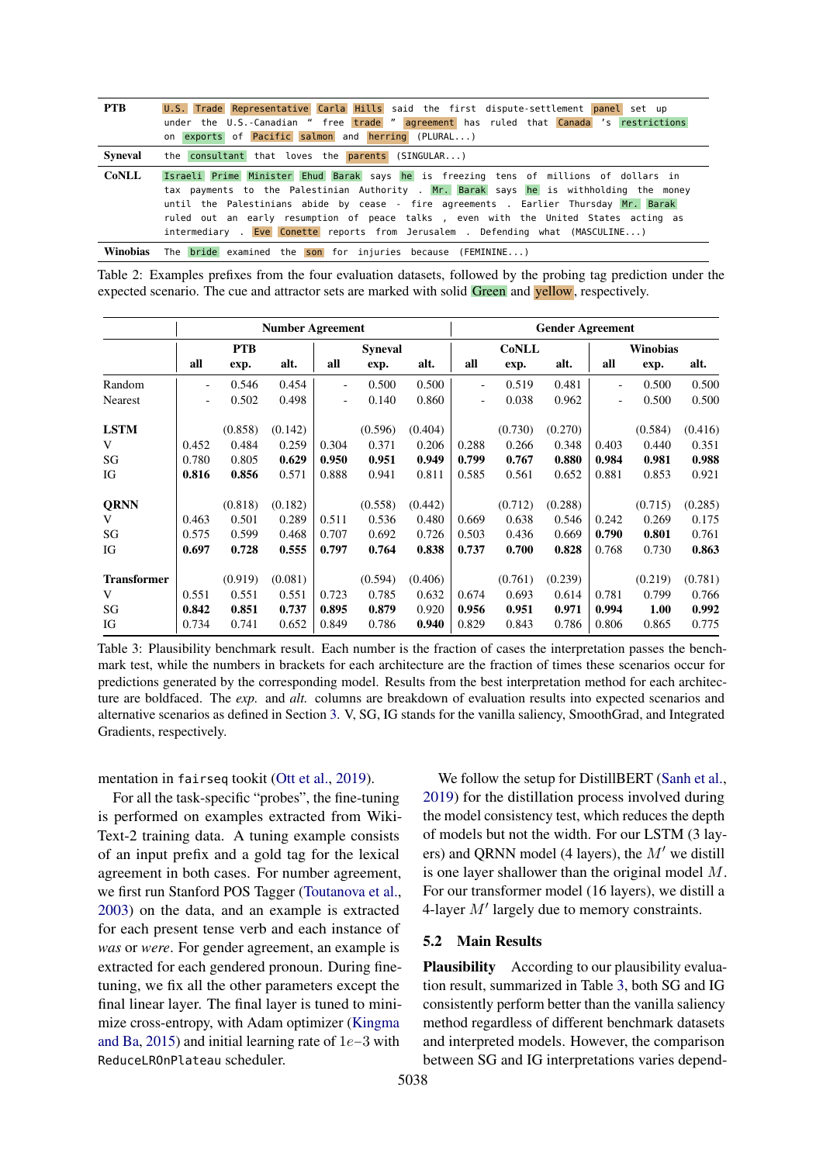<span id="page-4-0"></span>

| <b>PTB</b> | U.S. Trade Representative Carla Hills said the first dispute-settlement panel set up<br>under the U.S.-Canadian " free trade " agreement has ruled that Canada 's restrictions<br>on exports of Pacific salmon and herring (PLURAL)                                                                                                                                                                                                             |
|------------|-------------------------------------------------------------------------------------------------------------------------------------------------------------------------------------------------------------------------------------------------------------------------------------------------------------------------------------------------------------------------------------------------------------------------------------------------|
| Syneval    | the consultant that loves the parents (SINGULAR)                                                                                                                                                                                                                                                                                                                                                                                                |
| CoNLL      | Israeli Prime Minister Ehud Barak says he is freezing tens of millions of dollars in<br>tax payments to the Palestinian Authority . Mr. Barak says he is withholding the money<br>until the Palestinians abide by cease - fire agreements . Earlier Thursday Mr. Barak<br>ruled out an early resumption of peace talks, even with the United States acting as<br>intermediary . Eve Conette reports from Jerusalem . Defending what (MASCULINE) |
| Winobias   | The <b>bride</b> examined the son for injuries because (FEMININE)                                                                                                                                                                                                                                                                                                                                                                               |

Table 2: Examples prefixes from the four evaluation datasets, followed by the probing tag prediction under the expected scenario. The cue and attractor sets are marked with solid Green and yellow, respectively.

<span id="page-4-1"></span>

|                    |        |            | <b>Number Agreement</b> |                          |                | <b>Gender Agreement</b> |                          |              |         |                          |          |         |
|--------------------|--------|------------|-------------------------|--------------------------|----------------|-------------------------|--------------------------|--------------|---------|--------------------------|----------|---------|
|                    |        | <b>PTB</b> |                         |                          | <b>Syneval</b> |                         |                          | <b>CoNLL</b> |         |                          | Winobias |         |
|                    | all    | exp.       | alt.                    | all                      | exp.           | alt.                    | all                      | exp.         | alt.    | all                      | exp.     | alt.    |
| Random             |        | 0.546      | 0.454                   | $\overline{\phantom{a}}$ | 0.500          | 0.500                   | $\overline{\phantom{0}}$ | 0.519        | 0.481   | $\overline{\phantom{a}}$ | 0.500    | 0.500   |
| Nearest            | $\sim$ | 0.502      | 0.498                   | $\overline{\phantom{a}}$ | 0.140          | 0.860                   | $\overline{\phantom{0}}$ | 0.038        | 0.962   | $\overline{\phantom{a}}$ | 0.500    | 0.500   |
| <b>LSTM</b>        |        | (0.858)    | (0.142)                 |                          | (0.596)        | (0.404)                 |                          | (0.730)      | (0.270) |                          | (0.584)  | (0.416) |
| V                  | 0.452  | 0.484      | 0.259                   | 0.304                    | 0.371          | 0.206                   | 0.288                    | 0.266        | 0.348   | 0.403                    | 0.440    | 0.351   |
| SG                 | 0.780  | 0.805      | 0.629                   | 0.950                    | 0.951          | 0.949                   | 0.799                    | 0.767        | 0.880   | 0.984                    | 0.981    | 0.988   |
| IG                 | 0.816  | 0.856      | 0.571                   | 0.888                    | 0.941          | 0.811                   | 0.585                    | 0.561        | 0.652   | 0.881                    | 0.853    | 0.921   |
| <b>QRNN</b>        |        | (0.818)    | (0.182)                 |                          | (0.558)        | (0.442)                 |                          | (0.712)      | (0.288) |                          | (0.715)  | (0.285) |
| V                  | 0.463  | 0.501      | 0.289                   | 0.511                    | 0.536          | 0.480                   | 0.669                    | 0.638        | 0.546   | 0.242                    | 0.269    | 0.175   |
| SG                 | 0.575  | 0.599      | 0.468                   | 0.707                    | 0.692          | 0.726                   | 0.503                    | 0.436        | 0.669   | 0.790                    | 0.801    | 0.761   |
| IG                 | 0.697  | 0.728      | 0.555                   | 0.797                    | 0.764          | 0.838                   | 0.737                    | 0.700        | 0.828   | 0.768                    | 0.730    | 0.863   |
| <b>Transformer</b> |        | (0.919)    | (0.081)                 |                          | (0.594)        | (0.406)                 |                          | (0.761)      | (0.239) |                          | (0.219)  | (0.781) |
| V                  | 0.551  | 0.551      | 0.551                   | 0.723                    | 0.785          | 0.632                   | 0.674                    | 0.693        | 0.614   | 0.781                    | 0.799    | 0.766   |
| SG                 | 0.842  | 0.851      | 0.737                   | 0.895                    | 0.879          | 0.920                   | 0.956                    | 0.951        | 0.971   | 0.994                    | 1.00     | 0.992   |
| IG                 | 0.734  | 0.741      | 0.652                   | 0.849                    | 0.786          | 0.940                   | 0.829                    | 0.843        | 0.786   | 0.806                    | 0.865    | 0.775   |

Table 3: Plausibility benchmark result. Each number is the fraction of cases the interpretation passes the benchmark test, while the numbers in brackets for each architecture are the fraction of times these scenarios occur for predictions generated by the corresponding model. Results from the best interpretation method for each architecture are boldfaced. The *exp.* and *alt.* columns are breakdown of evaluation results into expected scenarios and alternative scenarios as defined in Section [3.](#page-1-2) V, SG, IG stands for the vanilla saliency, SmoothGrad, and Integrated Gradients, respectively.

mentation in fairseq tookit [\(Ott et al.,](#page-10-16) [2019\)](#page-10-16).

For all the task-specific "probes", the fine-tuning is performed on examples extracted from Wiki-Text-2 training data. A tuning example consists of an input prefix and a gold tag for the lexical agreement in both cases. For number agreement, we first run Stanford POS Tagger [\(Toutanova et al.,](#page-10-17) [2003\)](#page-10-17) on the data, and an example is extracted for each present tense verb and each instance of *was* or *were*. For gender agreement, an example is extracted for each gendered pronoun. During finetuning, we fix all the other parameters except the final linear layer. The final layer is tuned to minimize cross-entropy, with Adam optimizer [\(Kingma](#page-9-10) [and Ba,](#page-9-10) [2015\)](#page-9-10) and initial learning rate of 1e−3 with ReduceLROnPlateau scheduler.

We follow the setup for DistillBERT [\(Sanh et al.,](#page-10-18) [2019\)](#page-10-18) for the distillation process involved during the model consistency test, which reduces the depth of models but not the width. For our LSTM (3 layers) and QRNN model (4 layers), the  $M'$  we distill is one layer shallower than the original model M. For our transformer model (16 layers), we distill a 4-layer  $M'$  largely due to memory constraints.

#### 5.2 Main Results

Plausibility According to our plausibility evaluation result, summarized in Table [3,](#page-4-1) both SG and IG consistently perform better than the vanilla saliency method regardless of different benchmark datasets and interpreted models. However, the comparison between SG and IG interpretations varies depend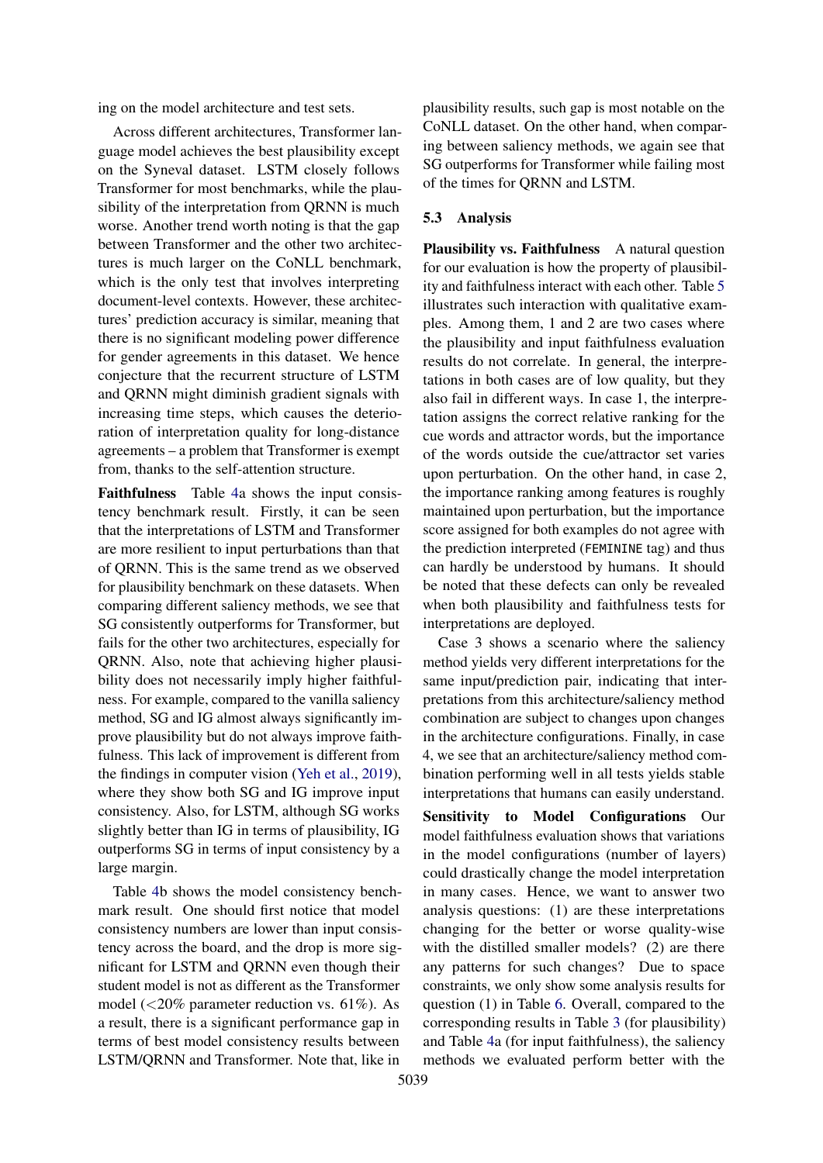ing on the model architecture and test sets.

Across different architectures, Transformer language model achieves the best plausibility except on the Syneval dataset. LSTM closely follows Transformer for most benchmarks, while the plausibility of the interpretation from QRNN is much worse. Another trend worth noting is that the gap between Transformer and the other two architectures is much larger on the CoNLL benchmark, which is the only test that involves interpreting document-level contexts. However, these architectures' prediction accuracy is similar, meaning that there is no significant modeling power difference for gender agreements in this dataset. We hence conjecture that the recurrent structure of LSTM and QRNN might diminish gradient signals with increasing time steps, which causes the deterioration of interpretation quality for long-distance agreements – a problem that Transformer is exempt from, thanks to the self-attention structure.

Faithfulness Table [4a](#page-6-0) shows the input consistency benchmark result. Firstly, it can be seen that the interpretations of LSTM and Transformer are more resilient to input perturbations than that of QRNN. This is the same trend as we observed for plausibility benchmark on these datasets. When comparing different saliency methods, we see that SG consistently outperforms for Transformer, but fails for the other two architectures, especially for QRNN. Also, note that achieving higher plausibility does not necessarily imply higher faithfulness. For example, compared to the vanilla saliency method, SG and IG almost always significantly improve plausibility but do not always improve faithfulness. This lack of improvement is different from the findings in computer vision [\(Yeh et al.,](#page-11-0) [2019\)](#page-11-0), where they show both SG and IG improve input consistency. Also, for LSTM, although SG works slightly better than IG in terms of plausibility, IG outperforms SG in terms of input consistency by a large margin.

Table [4b](#page-6-0) shows the model consistency benchmark result. One should first notice that model consistency numbers are lower than input consistency across the board, and the drop is more significant for LSTM and QRNN even though their student model is not as different as the Transformer model (<20% parameter reduction vs. 61%). As a result, there is a significant performance gap in terms of best model consistency results between LSTM/QRNN and Transformer. Note that, like in

plausibility results, such gap is most notable on the CoNLL dataset. On the other hand, when comparing between saliency methods, we again see that SG outperforms for Transformer while failing most of the times for QRNN and LSTM.

#### <span id="page-5-0"></span>5.3 Analysis

Plausibility vs. Faithfulness A natural question for our evaluation is how the property of plausibility and faithfulness interact with each other. Table [5](#page-6-1) illustrates such interaction with qualitative examples. Among them, 1 and 2 are two cases where the plausibility and input faithfulness evaluation results do not correlate. In general, the interpretations in both cases are of low quality, but they also fail in different ways. In case 1, the interpretation assigns the correct relative ranking for the cue words and attractor words, but the importance of the words outside the cue/attractor set varies upon perturbation. On the other hand, in case 2, the importance ranking among features is roughly maintained upon perturbation, but the importance score assigned for both examples do not agree with the prediction interpreted (FEMININE tag) and thus can hardly be understood by humans. It should be noted that these defects can only be revealed when both plausibility and faithfulness tests for interpretations are deployed.

Case 3 shows a scenario where the saliency method yields very different interpretations for the same input/prediction pair, indicating that interpretations from this architecture/saliency method combination are subject to changes upon changes in the architecture configurations. Finally, in case 4, we see that an architecture/saliency method combination performing well in all tests yields stable interpretations that humans can easily understand.

Sensitivity to Model Configurations Our model faithfulness evaluation shows that variations in the model configurations (number of layers) could drastically change the model interpretation in many cases. Hence, we want to answer two analysis questions: (1) are these interpretations changing for the better or worse quality-wise with the distilled smaller models? (2) are there any patterns for such changes? Due to space constraints, we only show some analysis results for question (1) in Table [6.](#page-7-0) Overall, compared to the corresponding results in Table [3](#page-4-1) (for plausibility) and Table [4a](#page-6-0) (for input faithfulness), the saliency methods we evaluated perform better with the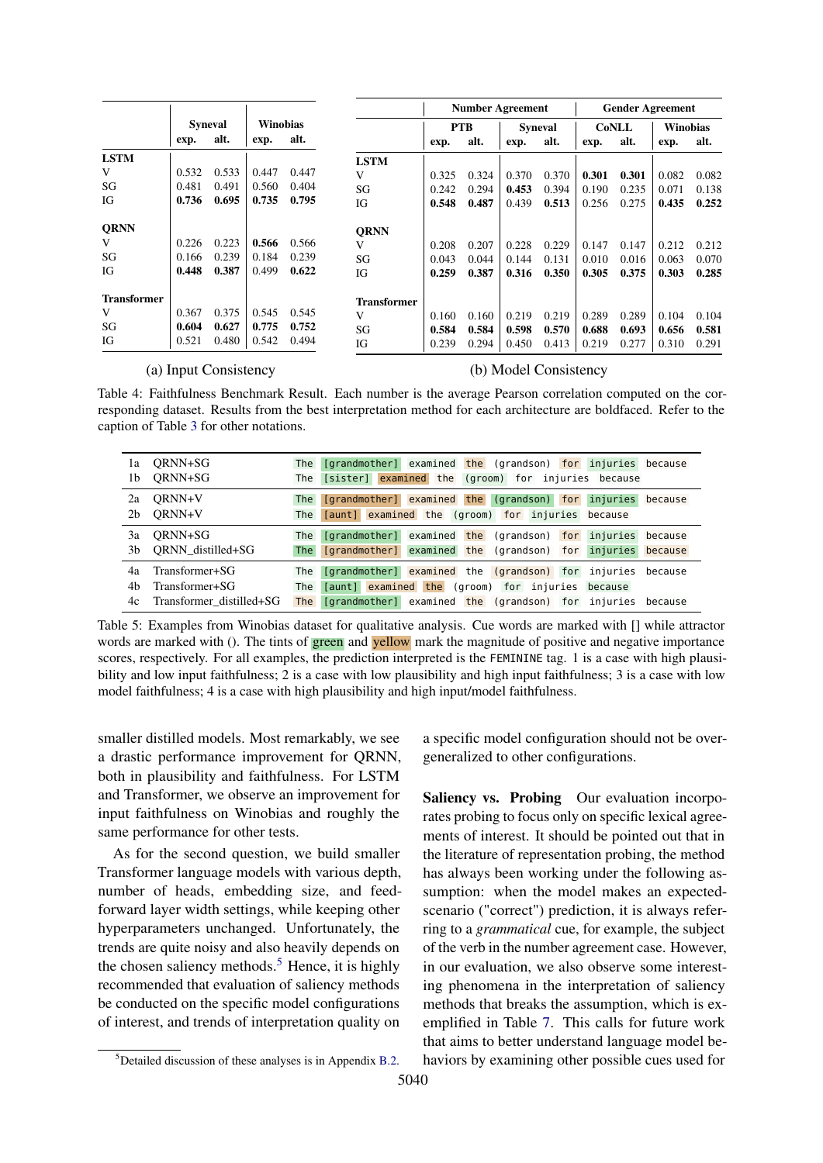<span id="page-6-0"></span>

|                    |       |                |          |       |             | <b>Number Agreement</b> |       |                | <b>Gender Agreement</b> |              |       |          |       |
|--------------------|-------|----------------|----------|-------|-------------|-------------------------|-------|----------------|-------------------------|--------------|-------|----------|-------|
|                    |       | <b>Syneval</b> | Winobias |       |             | <b>PTB</b>              |       | <b>Syneval</b> |                         | <b>CoNLL</b> |       | Winobias |       |
|                    | exp.  | alt.           | exp.     | alt.  |             | exp.                    | alt.  | exp.           | alt.                    | exp.         | alt.  | exp.     | alt.  |
| <b>LSTM</b>        |       |                |          |       | <b>LSTM</b> |                         |       |                |                         |              |       |          |       |
| V                  | 0.532 | 0.533          | 0.447    | 0.447 | V           | 0.325                   | 0.324 | 0.370          | 0.370                   | 0.301        | 0.301 | 0.082    | 0.082 |
| SG                 | 0.481 | 0.491          | 0.560    | 0.404 | SG          | 0.242                   | 0.294 | 0.453          | 0.394                   | 0.190        | 0.235 | 0.071    | 0.138 |
| IG                 | 0.736 | 0.695          | 0.735    | 0.795 | IG          | 0.548                   | 0.487 | 0.439          | 0.513                   | 0.256        | 0.275 | 0.435    | 0.252 |
| <b>QRNN</b>        |       |                |          |       | <b>ORNN</b> |                         |       |                |                         |              |       |          |       |
| V                  | 0.226 | 0.223          | 0.566    | 0.566 | V           | 0.208                   | 0.207 | 0.228          | 0.229                   | 0.147        | 0.147 | 0.212    | 0.212 |
| SG                 | 0.166 | 0.239          | 0.184    | 0.239 | SG          | 0.043                   | 0.044 | 0.144          | 0.131                   | 0.010        | 0.016 | 0.063    | 0.070 |
| ЮG                 | 0.448 | 0.387          | 0.499    | 0.622 | IG          | 0.259                   | 0.387 | 0.316          | 0.350                   | 0.305        | 0.375 | 0.303    | 0.285 |
| <b>Transformer</b> |       |                |          |       | Transformer |                         |       |                |                         |              |       |          |       |
| V                  | 0.367 | 0.375          | 0.545    | 0.545 | V           | 0.160                   | 0.160 | 0.219          | 0.219                   | 0.289        | 0.289 | 0.104    | 0.104 |
| SG                 | 0.604 | 0.627          | 0.775    | 0.752 | SG          | 0.584                   | 0.584 | 0.598          | 0.570                   | 0.688        | 0.693 | 0.656    | 0.581 |
| IG                 | 0.521 | 0.480          | 0.542    | 0.494 | IG          | 0.239                   | 0.294 | 0.450          | 0.413                   | 0.219        | 0.277 | 0.310    | 0.291 |

#### (a) Input Consistency (b) Model Consistency

Table 4: Faithfulness Benchmark Result. Each number is the average Pearson correlation computed on the corresponding dataset. Results from the best interpretation method for each architecture are boldfaced. Refer to the caption of Table [3](#page-4-1) for other notations.

<span id="page-6-1"></span>

| 1a             | ORNN+SG                         | The        | [grandmother] examined the (grandson) for injuries because                                                                   |
|----------------|---------------------------------|------------|------------------------------------------------------------------------------------------------------------------------------|
| 1b             | ORNN+SG                         |            | The [sister] examined the (groom) for injuries because                                                                       |
| 2a             | ORNN+V                          | <b>The</b> | [grandmother] examined the (grandson) for injuries because                                                                   |
| 2 <sub>b</sub> | ORNN+V                          |            | The [aunt] examined the (groom) for injuries because                                                                         |
| 3a             | ORNN+SG<br>3b ORNN distilled+SG | The        | [grandmother] examined the (grandson) for injuries because<br>The [grandmother] examined the (grandson) for injuries because |
| 4a             | Transformer+SG                  | The        | [grandmother] examined the (grandson) for injuries because                                                                   |
| 4b             | Transformer+SG                  | The        | [aunt] examined the (groom) for injuries because                                                                             |
| 4c             | Transformer distilled+SG        | <b>The</b> | [grandmother] examined the (grandson) for injuries because                                                                   |

Table 5: Examples from Winobias dataset for qualitative analysis. Cue words are marked with [] while attractor words are marked with (). The tints of green and yellow mark the magnitude of positive and negative importance scores, respectively. For all examples, the prediction interpreted is the FEMININE tag. 1 is a case with high plausibility and low input faithfulness; 2 is a case with low plausibility and high input faithfulness; 3 is a case with low model faithfulness; 4 is a case with high plausibility and high input/model faithfulness.

smaller distilled models. Most remarkably, we see a drastic performance improvement for QRNN, both in plausibility and faithfulness. For LSTM and Transformer, we observe an improvement for input faithfulness on Winobias and roughly the same performance for other tests.

As for the second question, we build smaller Transformer language models with various depth, number of heads, embedding size, and feedforward layer width settings, while keeping other hyperparameters unchanged. Unfortunately, the trends are quite noisy and also heavily depends on the chosen saliency methods.<sup>[5](#page-6-2)</sup> Hence, it is highly recommended that evaluation of saliency methods be conducted on the specific model configurations of interest, and trends of interpretation quality on

a specific model configuration should not be overgeneralized to other configurations.

Saliency vs. Probing Our evaluation incorporates probing to focus only on specific lexical agreements of interest. It should be pointed out that in the literature of representation probing, the method has always been working under the following assumption: when the model makes an expectedscenario ("correct") prediction, it is always referring to a *grammatical* cue, for example, the subject of the verb in the number agreement case. However, in our evaluation, we also observe some interesting phenomena in the interpretation of saliency methods that breaks the assumption, which is exemplified in Table [7.](#page-7-1) This calls for future work that aims to better understand language model behaviors by examining other possible cues used for

<span id="page-6-2"></span> $5$ Detailed discussion of these analyses is in Appendix [B.2.](#page-13-1)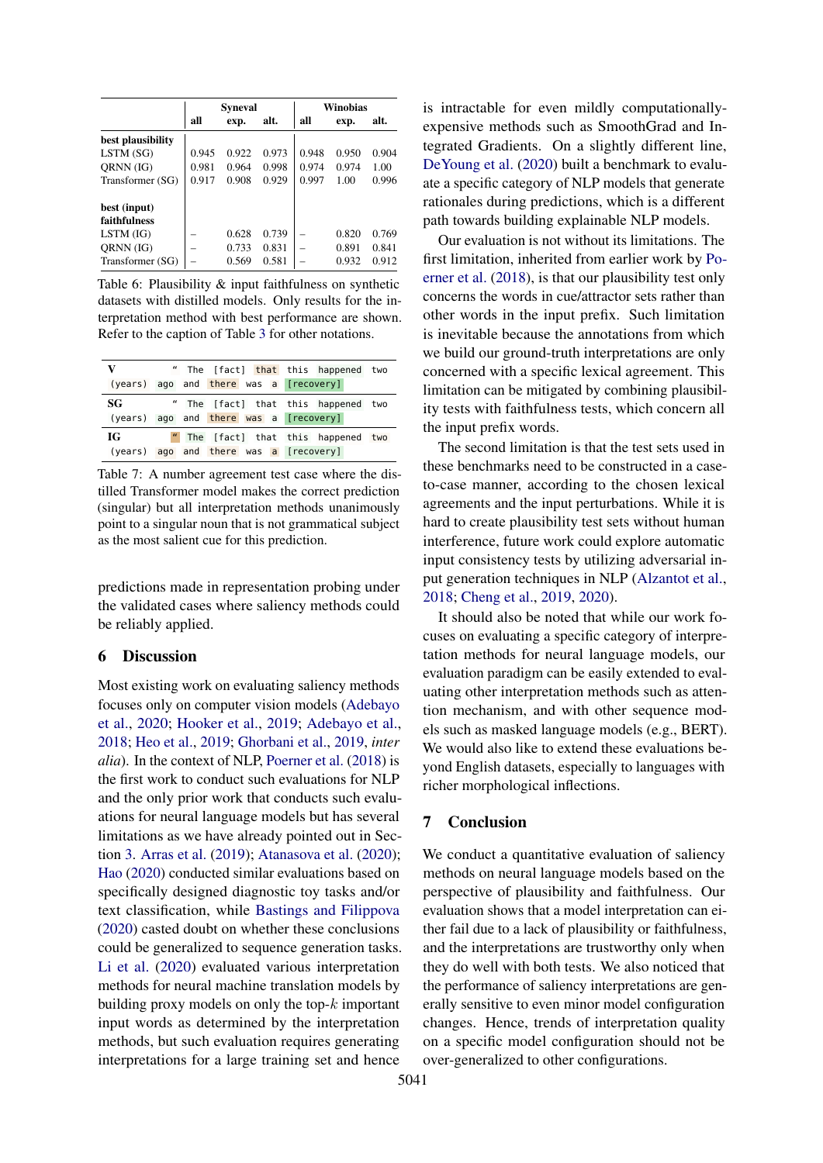<span id="page-7-0"></span>

|                     |       | <b>Syneval</b> |       | Winobias |       |       |  |
|---------------------|-------|----------------|-------|----------|-------|-------|--|
|                     | all   | exp.           | alt.  | all      | exp.  | alt.  |  |
| best plausibility   |       |                |       |          |       |       |  |
| LSTM(SG)            | 0.945 | 0.922          | 0.973 | 0.948    | 0.950 | 0.904 |  |
| ORNN (IG)           | 0.981 | 0.964          | 0.998 | 0.974    | 0.974 | 1.00  |  |
| Transformer (SG)    | 0.917 | 0.908          | 0.929 | 0.997    | 1.00  | 0.996 |  |
| best (input)        |       |                |       |          |       |       |  |
| <b>faithfulness</b> |       |                |       |          |       |       |  |
| $LSTM$ (IG)         |       | 0.628          | 0.739 |          | 0.820 | 0.769 |  |
| ORNN (IG)           |       | 0.733          | 0.831 |          | 0.891 | 0.841 |  |
| Transformer (SG)    |       | 0.569          | 0.581 |          | 0.932 | 0.912 |  |

Table 6: Plausibility & input faithfulness on synthetic datasets with distilled models. Only results for the interpretation method with best performance are shown. Refer to the caption of Table [3](#page-4-1) for other notations.

<span id="page-7-1"></span>

| V   |                                        | " The [fact] that this happened two |
|-----|----------------------------------------|-------------------------------------|
|     | (years) ago and there was a [recovery] |                                     |
| -SG |                                        | " The [fact] that this happened two |
|     | (years) ago and there was a [recovery] |                                     |
| IG  |                                        | " The [fact] that this happened two |
|     | (years) ago and there was a [recovery] |                                     |

Table 7: A number agreement test case where the distilled Transformer model makes the correct prediction (singular) but all interpretation methods unanimously point to a singular noun that is not grammatical subject as the most salient cue for this prediction.

predictions made in representation probing under the validated cases where saliency methods could be reliably applied.

## 6 Discussion

Most existing work on evaluating saliency methods focuses only on computer vision models [\(Adebayo](#page-8-7) [et al.,](#page-8-7) [2020;](#page-8-7) [Hooker et al.,](#page-9-11) [2019;](#page-9-11) [Adebayo et al.,](#page-8-2) [2018;](#page-8-2) [Heo et al.,](#page-9-12) [2019;](#page-9-12) [Ghorbani et al.,](#page-9-13) [2019,](#page-9-13) *inter alia*). In the context of NLP, [Poerner et al.](#page-10-6) [\(2018\)](#page-10-6) is the first work to conduct such evaluations for NLP and the only prior work that conducts such evaluations for neural language models but has several limitations as we have already pointed out in Section [3.](#page-1-2) [Arras et al.](#page-8-8) [\(2019\)](#page-8-8); [Atanasova et al.](#page-8-9) [\(2020\)](#page-8-9); [Hao](#page-9-14) [\(2020\)](#page-9-14) conducted similar evaluations based on specifically designed diagnostic toy tasks and/or text classification, while [Bastings and Filippova](#page-8-10) [\(2020\)](#page-8-10) casted doubt on whether these conclusions could be generalized to sequence generation tasks. [Li et al.](#page-9-15) [\(2020\)](#page-9-15) evaluated various interpretation methods for neural machine translation models by building proxy models on only the top- $k$  important input words as determined by the interpretation methods, but such evaluation requires generating interpretations for a large training set and hence

is intractable for even mildly computationallyexpensive methods such as SmoothGrad and Integrated Gradients. On a slightly different line, [DeYoung et al.](#page-9-16) [\(2020\)](#page-9-16) built a benchmark to evaluate a specific category of NLP models that generate rationales during predictions, which is a different path towards building explainable NLP models.

Our evaluation is not without its limitations. The first limitation, inherited from earlier work by [Po](#page-10-6)[erner et al.](#page-10-6) [\(2018\)](#page-10-6), is that our plausibility test only concerns the words in cue/attractor sets rather than other words in the input prefix. Such limitation is inevitable because the annotations from which we build our ground-truth interpretations are only concerned with a specific lexical agreement. This limitation can be mitigated by combining plausibility tests with faithfulness tests, which concern all the input prefix words.

The second limitation is that the test sets used in these benchmarks need to be constructed in a caseto-case manner, according to the chosen lexical agreements and the input perturbations. While it is hard to create plausibility test sets without human interference, future work could explore automatic input consistency tests by utilizing adversarial input generation techniques in NLP [\(Alzantot et al.,](#page-8-11) [2018;](#page-8-11) [Cheng et al.,](#page-8-12) [2019,](#page-8-12) [2020\)](#page-8-13).

It should also be noted that while our work focuses on evaluating a specific category of interpretation methods for neural language models, our evaluation paradigm can be easily extended to evaluating other interpretation methods such as attention mechanism, and with other sequence models such as masked language models (e.g., BERT). We would also like to extend these evaluations beyond English datasets, especially to languages with richer morphological inflections.

## 7 Conclusion

We conduct a quantitative evaluation of saliency methods on neural language models based on the perspective of plausibility and faithfulness. Our evaluation shows that a model interpretation can either fail due to a lack of plausibility or faithfulness, and the interpretations are trustworthy only when they do well with both tests. We also noticed that the performance of saliency interpretations are generally sensitive to even minor model configuration changes. Hence, trends of interpretation quality on a specific model configuration should not be over-generalized to other configurations.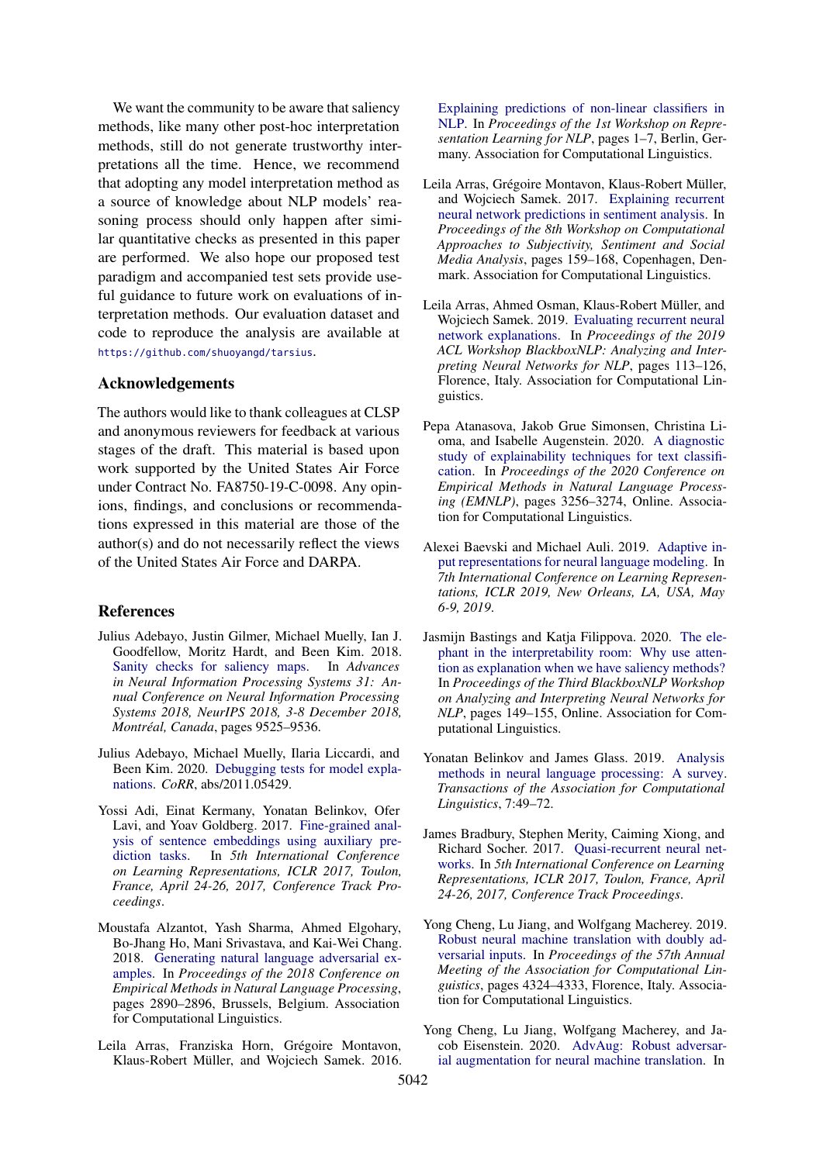We want the community to be aware that saliency methods, like many other post-hoc interpretation methods, still do not generate trustworthy interpretations all the time. Hence, we recommend that adopting any model interpretation method as a source of knowledge about NLP models' reasoning process should only happen after similar quantitative checks as presented in this paper are performed. We also hope our proposed test paradigm and accompanied test sets provide useful guidance to future work on evaluations of interpretation methods. Our evaluation dataset and code to reproduce the analysis are available at <https://github.com/shuoyangd/tarsius>.

## Acknowledgements

The authors would like to thank colleagues at CLSP and anonymous reviewers for feedback at various stages of the draft. This material is based upon work supported by the United States Air Force under Contract No. FA8750-19-C-0098. Any opinions, findings, and conclusions or recommendations expressed in this material are those of the author(s) and do not necessarily reflect the views of the United States Air Force and DARPA.

#### References

- <span id="page-8-2"></span>Julius Adebayo, Justin Gilmer, Michael Muelly, Ian J. Goodfellow, Moritz Hardt, and Been Kim. 2018. [Sanity checks for saliency maps.](http://papers.nips.cc/paper/8160-sanity-checks-for-saliency-maps) In *Advances in Neural Information Processing Systems 31: Annual Conference on Neural Information Processing Systems 2018, NeurIPS 2018, 3-8 December 2018, Montréal, Canada*, pages 9525–9536.
- <span id="page-8-7"></span>Julius Adebayo, Michael Muelly, Ilaria Liccardi, and Been Kim. 2020. [Debugging tests for model expla](http://arxiv.org/abs/2011.05429)[nations.](http://arxiv.org/abs/2011.05429) *CoRR*, abs/2011.05429.
- <span id="page-8-4"></span>Yossi Adi, Einat Kermany, Yonatan Belinkov, Ofer Lavi, and Yoav Goldberg. 2017. [Fine-grained anal](https://openreview.net/forum?id=BJh6Ztuxl)[ysis of sentence embeddings using auxiliary pre](https://openreview.net/forum?id=BJh6Ztuxl)[diction tasks.](https://openreview.net/forum?id=BJh6Ztuxl) In *5th International Conference on Learning Representations, ICLR 2017, Toulon, France, April 24-26, 2017, Conference Track Proceedings*.
- <span id="page-8-11"></span>Moustafa Alzantot, Yash Sharma, Ahmed Elgohary, Bo-Jhang Ho, Mani Srivastava, and Kai-Wei Chang. 2018. [Generating natural language adversarial ex](https://doi.org/10.18653/v1/D18-1316)[amples.](https://doi.org/10.18653/v1/D18-1316) In *Proceedings of the 2018 Conference on Empirical Methods in Natural Language Processing*, pages 2890–2896, Brussels, Belgium. Association for Computational Linguistics.
- <span id="page-8-0"></span>Leila Arras, Franziska Horn, Grégoire Montavon, Klaus-Robert Müller, and Wojciech Samek. 2016.

[Explaining predictions of non-linear classifiers in](https://doi.org/10.18653/v1/W16-1601) [NLP.](https://doi.org/10.18653/v1/W16-1601) In *Proceedings of the 1st Workshop on Representation Learning for NLP*, pages 1–7, Berlin, Germany. Association for Computational Linguistics.

- <span id="page-8-1"></span>Leila Arras, Grégoire Montavon, Klaus-Robert Müller, and Wojciech Samek. 2017. [Explaining recurrent](https://doi.org/10.18653/v1/W17-5221) [neural network predictions in sentiment analysis.](https://doi.org/10.18653/v1/W17-5221) In *Proceedings of the 8th Workshop on Computational Approaches to Subjectivity, Sentiment and Social Media Analysis*, pages 159–168, Copenhagen, Denmark. Association for Computational Linguistics.
- <span id="page-8-8"></span>Leila Arras, Ahmed Osman, Klaus-Robert Müller, and Wojciech Samek. 2019. [Evaluating recurrent neural](https://doi.org/10.18653/v1/W19-4813) [network explanations.](https://doi.org/10.18653/v1/W19-4813) In *Proceedings of the 2019 ACL Workshop BlackboxNLP: Analyzing and Interpreting Neural Networks for NLP*, pages 113–126, Florence, Italy. Association for Computational Linguistics.
- <span id="page-8-9"></span>Pepa Atanasova, Jakob Grue Simonsen, Christina Lioma, and Isabelle Augenstein. 2020. [A diagnostic](https://www.aclweb.org/anthology/2020.emnlp-main.263) [study of explainability techniques for text classifi](https://www.aclweb.org/anthology/2020.emnlp-main.263)[cation.](https://www.aclweb.org/anthology/2020.emnlp-main.263) In *Proceedings of the 2020 Conference on Empirical Methods in Natural Language Processing (EMNLP)*, pages 3256–3274, Online. Association for Computational Linguistics.
- <span id="page-8-6"></span>Alexei Baevski and Michael Auli. 2019. [Adaptive in](https://openreview.net/forum?id=ByxZX20qFQ)[put representations for neural language modeling.](https://openreview.net/forum?id=ByxZX20qFQ) In *7th International Conference on Learning Representations, ICLR 2019, New Orleans, LA, USA, May 6-9, 2019*.
- <span id="page-8-10"></span>Jasmijn Bastings and Katja Filippova. 2020. [The ele](https://www.aclweb.org/anthology/2020.blackboxnlp-1.14)[phant in the interpretability room: Why use atten](https://www.aclweb.org/anthology/2020.blackboxnlp-1.14)[tion as explanation when we have saliency methods?](https://www.aclweb.org/anthology/2020.blackboxnlp-1.14) In *Proceedings of the Third BlackboxNLP Workshop on Analyzing and Interpreting Neural Networks for NLP*, pages 149–155, Online. Association for Computational Linguistics.
- <span id="page-8-3"></span>Yonatan Belinkov and James Glass. 2019. [Analysis](https://doi.org/10.1162/tacl_a_00254) [methods in neural language processing: A survey.](https://doi.org/10.1162/tacl_a_00254) *Transactions of the Association for Computational Linguistics*, 7:49–72.
- <span id="page-8-5"></span>James Bradbury, Stephen Merity, Caiming Xiong, and Richard Socher. 2017. [Quasi-recurrent neural net](https://openreview.net/forum?id=H1zJ-v5xl)[works.](https://openreview.net/forum?id=H1zJ-v5xl) In *5th International Conference on Learning Representations, ICLR 2017, Toulon, France, April 24-26, 2017, Conference Track Proceedings*.
- <span id="page-8-12"></span>Yong Cheng, Lu Jiang, and Wolfgang Macherey. 2019. [Robust neural machine translation with doubly ad](https://doi.org/10.18653/v1/P19-1425)[versarial inputs.](https://doi.org/10.18653/v1/P19-1425) In *Proceedings of the 57th Annual Meeting of the Association for Computational Linguistics*, pages 4324–4333, Florence, Italy. Association for Computational Linguistics.
- <span id="page-8-13"></span>Yong Cheng, Lu Jiang, Wolfgang Macherey, and Jacob Eisenstein. 2020. [AdvAug: Robust adversar](https://doi.org/10.18653/v1/2020.acl-main.529)[ial augmentation for neural machine translation.](https://doi.org/10.18653/v1/2020.acl-main.529) In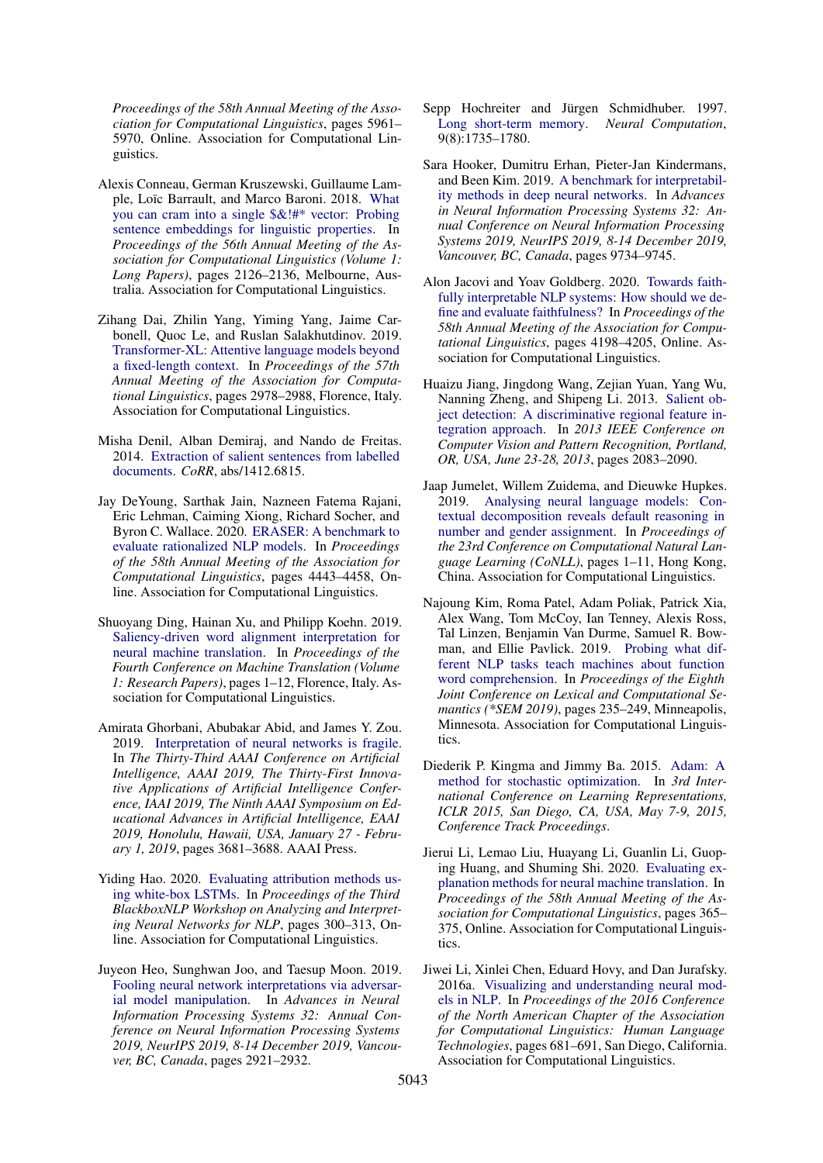*Proceedings of the 58th Annual Meeting of the Association for Computational Linguistics*, pages 5961– 5970, Online. Association for Computational Linguistics.

- <span id="page-9-6"></span>Alexis Conneau, German Kruszewski, Guillaume Lample, Loïc Barrault, and Marco Baroni. 2018. [What](https://doi.org/10.18653/v1/P18-1198) [you can cram into a single \\$&!#\\* vector: Probing](https://doi.org/10.18653/v1/P18-1198) [sentence embeddings for linguistic properties.](https://doi.org/10.18653/v1/P18-1198) In *Proceedings of the 56th Annual Meeting of the Association for Computational Linguistics (Volume 1: Long Papers)*, pages 2126–2136, Melbourne, Australia. Association for Computational Linguistics.
- <span id="page-9-9"></span>Zihang Dai, Zhilin Yang, Yiming Yang, Jaime Carbonell, Quoc Le, and Ruslan Salakhutdinov. 2019. [Transformer-XL: Attentive language models beyond](https://doi.org/10.18653/v1/P19-1285) [a fixed-length context.](https://doi.org/10.18653/v1/P19-1285) In *Proceedings of the 57th Annual Meeting of the Association for Computational Linguistics*, pages 2978–2988, Florence, Italy. Association for Computational Linguistics.
- <span id="page-9-3"></span>Misha Denil, Alban Demiraj, and Nando de Freitas. 2014. [Extraction of salient sentences from labelled](http://arxiv.org/abs/1412.6815) [documents.](http://arxiv.org/abs/1412.6815) *CoRR*, abs/1412.6815.
- <span id="page-9-16"></span>Jay DeYoung, Sarthak Jain, Nazneen Fatema Rajani, Eric Lehman, Caiming Xiong, Richard Socher, and Byron C. Wallace. 2020. [ERASER: A benchmark to](https://doi.org/10.18653/v1/2020.acl-main.408) [evaluate rationalized NLP models.](https://doi.org/10.18653/v1/2020.acl-main.408) In *Proceedings of the 58th Annual Meeting of the Association for Computational Linguistics*, pages 4443–4458, Online. Association for Computational Linguistics.
- <span id="page-9-1"></span>Shuoyang Ding, Hainan Xu, and Philipp Koehn. 2019. [Saliency-driven word alignment interpretation for](https://doi.org/10.18653/v1/W19-5201) [neural machine translation.](https://doi.org/10.18653/v1/W19-5201) In *Proceedings of the Fourth Conference on Machine Translation (Volume 1: Research Papers)*, pages 1–12, Florence, Italy. Association for Computational Linguistics.
- <span id="page-9-13"></span>Amirata Ghorbani, Abubakar Abid, and James Y. Zou. 2019. [Interpretation of neural networks is fragile.](https://doi.org/10.1609/aaai.v33i01.33013681) In *The Thirty-Third AAAI Conference on Artificial Intelligence, AAAI 2019, The Thirty-First Innovative Applications of Artificial Intelligence Conference, IAAI 2019, The Ninth AAAI Symposium on Educational Advances in Artificial Intelligence, EAAI 2019, Honolulu, Hawaii, USA, January 27 - February 1, 2019*, pages 3681–3688. AAAI Press.
- <span id="page-9-14"></span>Yiding Hao. 2020. [Evaluating attribution methods us](https://www.aclweb.org/anthology/2020.blackboxnlp-1.28)[ing white-box LSTMs.](https://www.aclweb.org/anthology/2020.blackboxnlp-1.28) In *Proceedings of the Third BlackboxNLP Workshop on Analyzing and Interpreting Neural Networks for NLP*, pages 300–313, Online. Association for Computational Linguistics.
- <span id="page-9-12"></span>Juyeon Heo, Sunghwan Joo, and Taesup Moon. 2019. [Fooling neural network interpretations via adversar](http://papers.nips.cc/paper/8558-fooling-neural-network-interpretations-via-adversarial-model-manipulation)[ial model manipulation.](http://papers.nips.cc/paper/8558-fooling-neural-network-interpretations-via-adversarial-model-manipulation) In *Advances in Neural Information Processing Systems 32: Annual Conference on Neural Information Processing Systems 2019, NeurIPS 2019, 8-14 December 2019, Vancouver, BC, Canada*, pages 2921–2932.
- <span id="page-9-8"></span>Sepp Hochreiter and Jürgen Schmidhuber. 1997. [Long short-term memory.](https://doi.org/10.1162/neco.1997.9.8.1735) *Neural Computation*, 9(8):1735–1780.
- <span id="page-9-11"></span>Sara Hooker, Dumitru Erhan, Pieter-Jan Kindermans, and Been Kim. 2019. [A benchmark for interpretabil](http://papers.nips.cc/paper/9167-a-benchmark-for-interpretability-methods-in-deep-neural-networks)[ity methods in deep neural networks.](http://papers.nips.cc/paper/9167-a-benchmark-for-interpretability-methods-in-deep-neural-networks) In *Advances in Neural Information Processing Systems 32: Annual Conference on Neural Information Processing Systems 2019, NeurIPS 2019, 8-14 December 2019, Vancouver, BC, Canada*, pages 9734–9745.
- <span id="page-9-2"></span>Alon Jacovi and Yoav Goldberg. 2020. [Towards faith](https://doi.org/10.18653/v1/2020.acl-main.386)[fully interpretable NLP systems: How should we de](https://doi.org/10.18653/v1/2020.acl-main.386)[fine and evaluate faithfulness?](https://doi.org/10.18653/v1/2020.acl-main.386) In *Proceedings of the 58th Annual Meeting of the Association for Computational Linguistics*, pages 4198–4205, Online. Association for Computational Linguistics.
- <span id="page-9-4"></span>Huaizu Jiang, Jingdong Wang, Zejian Yuan, Yang Wu, Nanning Zheng, and Shipeng Li. 2013. [Salient ob](https://doi.org/10.1109/CVPR.2013.271)[ject detection: A discriminative regional feature in](https://doi.org/10.1109/CVPR.2013.271)[tegration approach.](https://doi.org/10.1109/CVPR.2013.271) In *2013 IEEE Conference on Computer Vision and Pattern Recognition, Portland, OR, USA, June 23-28, 2013*, pages 2083–2090.
- <span id="page-9-7"></span>Jaap Jumelet, Willem Zuidema, and Dieuwke Hupkes. 2019. [Analysing neural language models: Con](https://doi.org/10.18653/v1/K19-1001)[textual decomposition reveals default reasoning in](https://doi.org/10.18653/v1/K19-1001) [number and gender assignment.](https://doi.org/10.18653/v1/K19-1001) In *Proceedings of the 23rd Conference on Computational Natural Language Learning (CoNLL)*, pages 1–11, Hong Kong, China. Association for Computational Linguistics.
- <span id="page-9-5"></span>Najoung Kim, Roma Patel, Adam Poliak, Patrick Xia, Alex Wang, Tom McCoy, Ian Tenney, Alexis Ross, Tal Linzen, Benjamin Van Durme, Samuel R. Bowman, and Ellie Pavlick. 2019. [Probing what dif](https://doi.org/10.18653/v1/S19-1026)[ferent NLP tasks teach machines about function](https://doi.org/10.18653/v1/S19-1026) [word comprehension.](https://doi.org/10.18653/v1/S19-1026) In *Proceedings of the Eighth Joint Conference on Lexical and Computational Semantics (\*SEM 2019)*, pages 235–249, Minneapolis, Minnesota. Association for Computational Linguistics.
- <span id="page-9-10"></span>Diederik P. Kingma and Jimmy Ba. 2015. [Adam: A](http://arxiv.org/abs/1412.6980) [method for stochastic optimization.](http://arxiv.org/abs/1412.6980) In *3rd International Conference on Learning Representations, ICLR 2015, San Diego, CA, USA, May 7-9, 2015, Conference Track Proceedings*.
- <span id="page-9-15"></span>Jierui Li, Lemao Liu, Huayang Li, Guanlin Li, Guoping Huang, and Shuming Shi. 2020. [Evaluating ex](https://doi.org/10.18653/v1/2020.acl-main.35)[planation methods for neural machine translation.](https://doi.org/10.18653/v1/2020.acl-main.35) In *Proceedings of the 58th Annual Meeting of the Association for Computational Linguistics*, pages 365– 375, Online. Association for Computational Linguistics.
- <span id="page-9-0"></span>Jiwei Li, Xinlei Chen, Eduard Hovy, and Dan Jurafsky. 2016a. [Visualizing and understanding neural mod](https://doi.org/10.18653/v1/N16-1082)[els in NLP.](https://doi.org/10.18653/v1/N16-1082) In *Proceedings of the 2016 Conference of the North American Chapter of the Association for Computational Linguistics: Human Language Technologies*, pages 681–691, San Diego, California. Association for Computational Linguistics.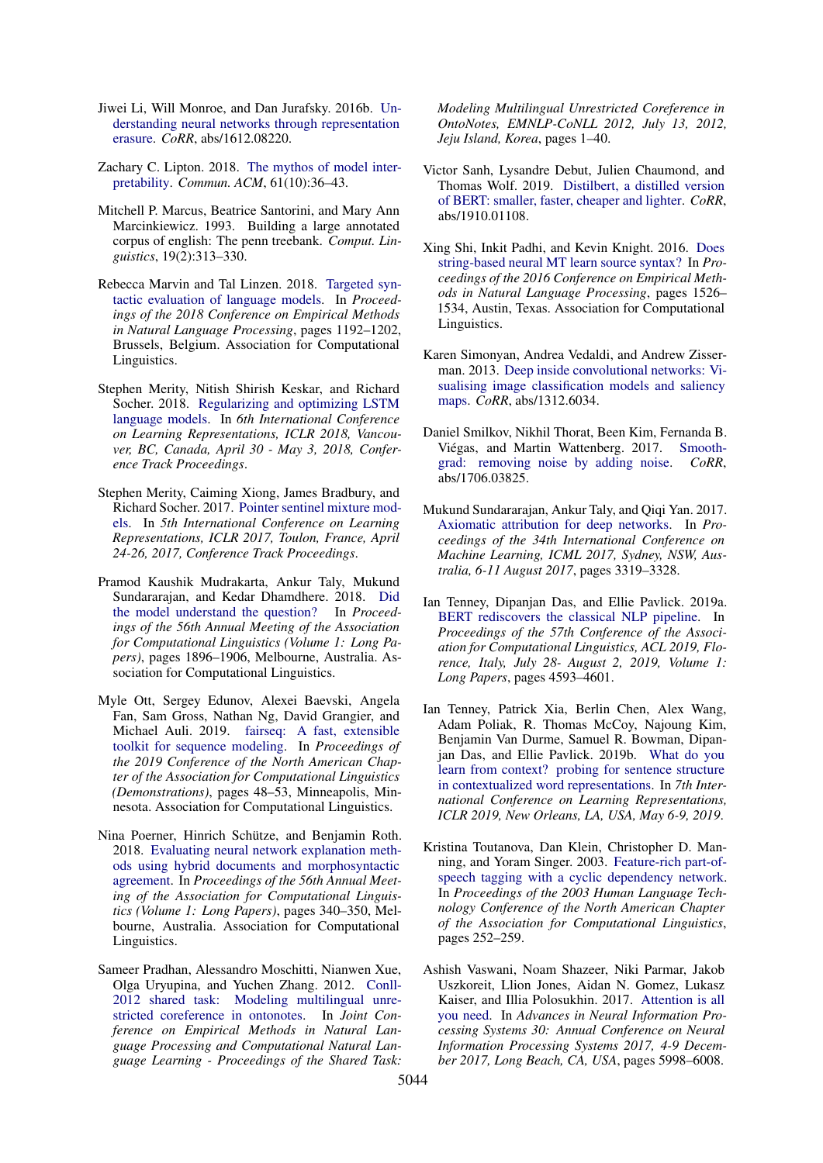- <span id="page-10-0"></span>Jiwei Li, Will Monroe, and Dan Jurafsky. 2016b. [Un](http://arxiv.org/abs/1612.08220)[derstanding neural networks through representation](http://arxiv.org/abs/1612.08220) [erasure.](http://arxiv.org/abs/1612.08220) *CoRR*, abs/1612.08220.
- <span id="page-10-2"></span>Zachary C. Lipton. 2018. [The mythos of model inter](https://doi.org/10.1145/3233231)[pretability.](https://doi.org/10.1145/3233231) *Commun. ACM*, 61(10):36–43.
- <span id="page-10-11"></span>Mitchell P. Marcus, Beatrice Santorini, and Mary Ann Marcinkiewicz. 1993. Building a large annotated corpus of english: The penn treebank. *Comput. Linguistics*, 19(2):313–330.
- <span id="page-10-10"></span>Rebecca Marvin and Tal Linzen. 2018. [Targeted syn](https://doi.org/10.18653/v1/D18-1151)[tactic evaluation of language models.](https://doi.org/10.18653/v1/D18-1151) In *Proceedings of the 2018 Conference on Empirical Methods in Natural Language Processing*, pages 1192–1202, Brussels, Belgium. Association for Computational Linguistics.
- <span id="page-10-15"></span>Stephen Merity, Nitish Shirish Keskar, and Richard Socher. 2018. [Regularizing and optimizing LSTM](https://openreview.net/forum?id=SyyGPP0TZ) [language models.](https://openreview.net/forum?id=SyyGPP0TZ) In *6th International Conference on Learning Representations, ICLR 2018, Vancouver, BC, Canada, April 30 - May 3, 2018, Conference Track Proceedings*.
- <span id="page-10-14"></span>Stephen Merity, Caiming Xiong, James Bradbury, and Richard Socher. 2017. [Pointer sentinel mixture mod](https://openreview.net/forum?id=Byj72udxe)[els.](https://openreview.net/forum?id=Byj72udxe) In *5th International Conference on Learning Representations, ICLR 2017, Toulon, France, April 24-26, 2017, Conference Track Proceedings*.
- <span id="page-10-1"></span>Pramod Kaushik Mudrakarta, Ankur Taly, Mukund Sundararajan, and Kedar Dhamdhere. 2018. [Did](https://doi.org/10.18653/v1/P18-1176) [the model understand the question?](https://doi.org/10.18653/v1/P18-1176) In *Proceedings of the 56th Annual Meeting of the Association for Computational Linguistics (Volume 1: Long Papers)*, pages 1896–1906, Melbourne, Australia. Association for Computational Linguistics.
- <span id="page-10-16"></span>Myle Ott, Sergey Edunov, Alexei Baevski, Angela Fan, Sam Gross, Nathan Ng, David Grangier, and Michael Auli. 2019. [fairseq: A fast, extensible](https://doi.org/10.18653/v1/N19-4009) [toolkit for sequence modeling.](https://doi.org/10.18653/v1/N19-4009) In *Proceedings of the 2019 Conference of the North American Chapter of the Association for Computational Linguistics (Demonstrations)*, pages 48–53, Minneapolis, Minnesota. Association for Computational Linguistics.
- <span id="page-10-6"></span>Nina Poerner, Hinrich Schütze, and Benjamin Roth. 2018. [Evaluating neural network explanation meth](https://doi.org/10.18653/v1/P18-1032)[ods using hybrid documents and morphosyntactic](https://doi.org/10.18653/v1/P18-1032) [agreement.](https://doi.org/10.18653/v1/P18-1032) In *Proceedings of the 56th Annual Meeting of the Association for Computational Linguistics (Volume 1: Long Papers)*, pages 340–350, Melbourne, Australia. Association for Computational Linguistics.
- <span id="page-10-12"></span>Sameer Pradhan, Alessandro Moschitti, Nianwen Xue, Olga Uryupina, and Yuchen Zhang. 2012. [Conll-](https://www.aclweb.org/anthology/W12-4501/)[2012 shared task: Modeling multilingual unre](https://www.aclweb.org/anthology/W12-4501/)[stricted coreference in ontonotes.](https://www.aclweb.org/anthology/W12-4501/) In *Joint Conference on Empirical Methods in Natural Language Processing and Computational Natural Language Learning - Proceedings of the Shared Task:*

*Modeling Multilingual Unrestricted Coreference in OntoNotes, EMNLP-CoNLL 2012, July 13, 2012, Jeju Island, Korea*, pages 1–40.

- <span id="page-10-18"></span>Victor Sanh, Lysandre Debut, Julien Chaumond, and Thomas Wolf. 2019. [Distilbert, a distilled version](http://arxiv.org/abs/1910.01108) [of BERT: smaller, faster, cheaper and lighter.](http://arxiv.org/abs/1910.01108) *CoRR*, abs/1910.01108.
- <span id="page-10-9"></span>Xing Shi, Inkit Padhi, and Kevin Knight. 2016. [Does](https://doi.org/10.18653/v1/D16-1159) [string-based neural MT learn source syntax?](https://doi.org/10.18653/v1/D16-1159) In *Proceedings of the 2016 Conference on Empirical Methods in Natural Language Processing*, pages 1526– 1534, Austin, Texas. Association for Computational Linguistics.
- <span id="page-10-3"></span>Karen Simonyan, Andrea Vedaldi, and Andrew Zisserman. 2013. [Deep inside convolutional networks: Vi](http://arxiv.org/abs/1312.6034)[sualising image classification models and saliency](http://arxiv.org/abs/1312.6034) [maps.](http://arxiv.org/abs/1312.6034) *CoRR*, abs/1312.6034.
- <span id="page-10-4"></span>Daniel Smilkov, Nikhil Thorat, Been Kim, Fernanda B. Viégas, and Martin Wattenberg. 2017. [Smooth](http://arxiv.org/abs/1706.03825)[grad: removing noise by adding noise.](http://arxiv.org/abs/1706.03825) *CoRR*, abs/1706.03825.
- <span id="page-10-5"></span>Mukund Sundararajan, Ankur Taly, and Qiqi Yan. 2017. [Axiomatic attribution for deep networks.](http://proceedings.mlr.press/v70/sundararajan17a.html) In *Proceedings of the 34th International Conference on Machine Learning, ICML 2017, Sydney, NSW, Australia, 6-11 August 2017*, pages 3319–3328.
- <span id="page-10-7"></span>Ian Tenney, Dipanjan Das, and Ellie Pavlick. 2019a. [BERT rediscovers the classical NLP pipeline.](https://www.aclweb.org/anthology/P19-1452/) In *Proceedings of the 57th Conference of the Association for Computational Linguistics, ACL 2019, Florence, Italy, July 28- August 2, 2019, Volume 1: Long Papers*, pages 4593–4601.
- <span id="page-10-8"></span>Ian Tenney, Patrick Xia, Berlin Chen, Alex Wang, Adam Poliak, R. Thomas McCoy, Najoung Kim, Benjamin Van Durme, Samuel R. Bowman, Dipanjan Das, and Ellie Pavlick. 2019b. [What do you](https://openreview.net/forum?id=SJzSgnRcKX) [learn from context? probing for sentence structure](https://openreview.net/forum?id=SJzSgnRcKX) [in contextualized word representations.](https://openreview.net/forum?id=SJzSgnRcKX) In *7th International Conference on Learning Representations, ICLR 2019, New Orleans, LA, USA, May 6-9, 2019*.
- <span id="page-10-17"></span>Kristina Toutanova, Dan Klein, Christopher D. Manning, and Yoram Singer. 2003. [Feature-rich part-of](https://www.aclweb.org/anthology/N03-1033)[speech tagging with a cyclic dependency network.](https://www.aclweb.org/anthology/N03-1033) In *Proceedings of the 2003 Human Language Technology Conference of the North American Chapter of the Association for Computational Linguistics*, pages 252–259.
- <span id="page-10-13"></span>Ashish Vaswani, Noam Shazeer, Niki Parmar, Jakob Uszkoreit, Llion Jones, Aidan N. Gomez, Lukasz Kaiser, and Illia Polosukhin. 2017. [Attention is all](http://papers.nips.cc/paper/7181-attention-is-all-you-need) [you need.](http://papers.nips.cc/paper/7181-attention-is-all-you-need) In *Advances in Neural Information Processing Systems 30: Annual Conference on Neural Information Processing Systems 2017, 4-9 December 2017, Long Beach, CA, USA*, pages 5998–6008.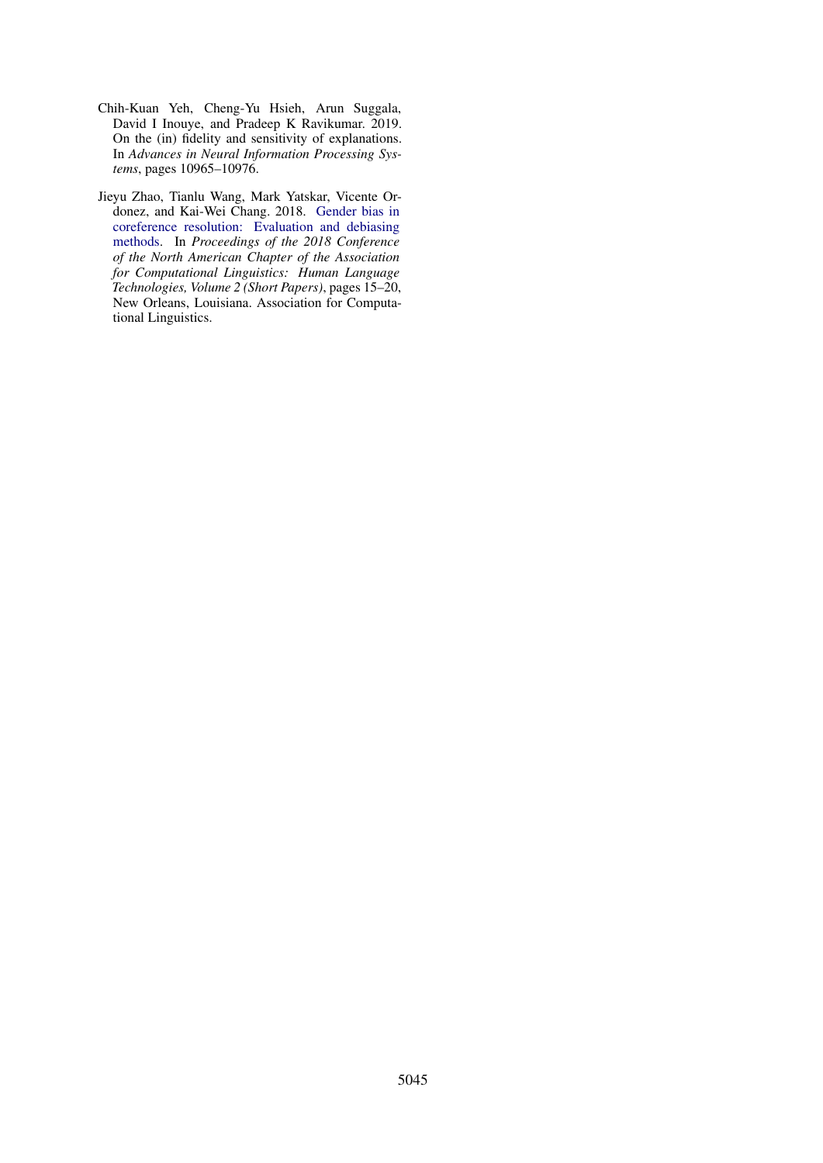- <span id="page-11-0"></span>Chih-Kuan Yeh, Cheng-Yu Hsieh, Arun Suggala, David I Inouye, and Pradeep K Ravikumar. 2019. On the (in) fidelity and sensitivity of explanations. In *Advances in Neural Information Processing Systems*, pages 10965–10976.
- <span id="page-11-1"></span>Jieyu Zhao, Tianlu Wang, Mark Yatskar, Vicente Ordonez, and Kai-Wei Chang. 2018. [Gender bias in](https://doi.org/10.18653/v1/N18-2003) [coreference resolution: Evaluation and debiasing](https://doi.org/10.18653/v1/N18-2003) [methods.](https://doi.org/10.18653/v1/N18-2003) In *Proceedings of the 2018 Conference of the North American Chapter of the Association for Computational Linguistics: Human Language Technologies, Volume 2 (Short Papers)*, pages 15–20, New Orleans, Louisiana. Association for Computational Linguistics.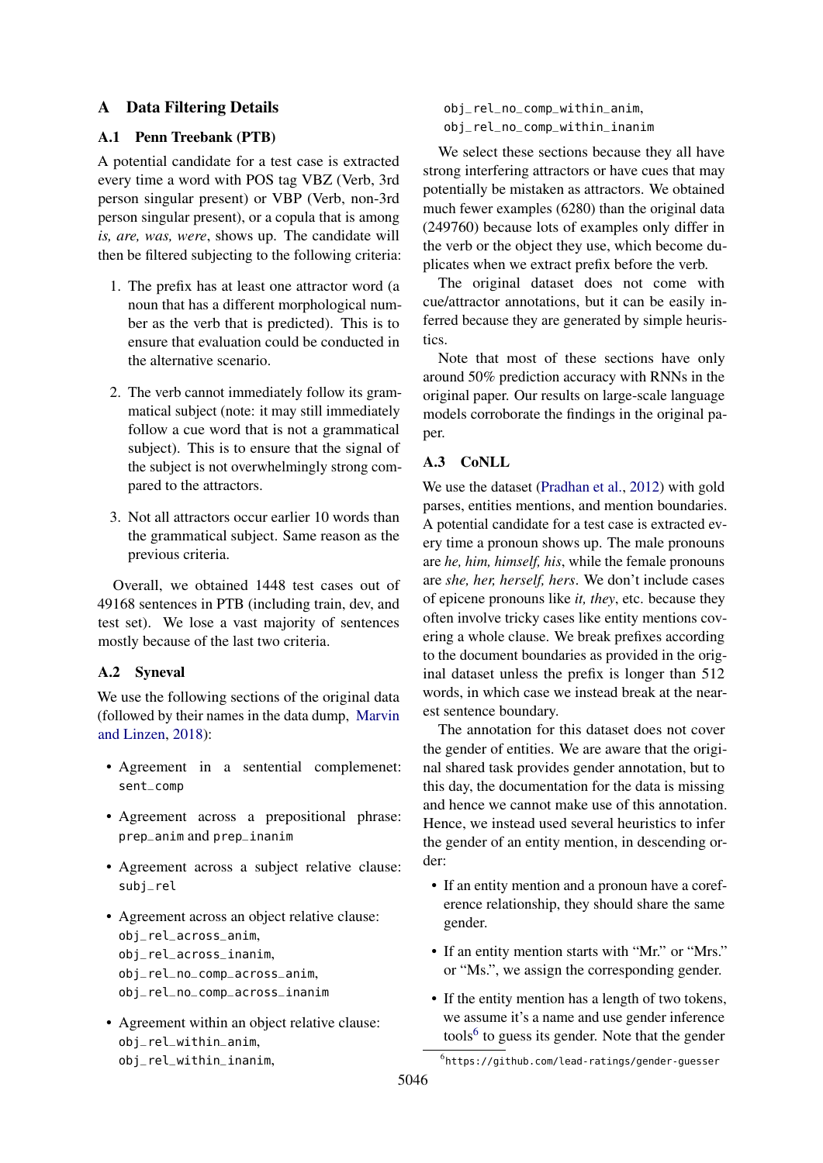## <span id="page-12-0"></span>A Data Filtering Details

## A.1 Penn Treebank (PTB)

A potential candidate for a test case is extracted every time a word with POS tag VBZ (Verb, 3rd person singular present) or VBP (Verb, non-3rd person singular present), or a copula that is among *is, are, was, were*, shows up. The candidate will then be filtered subjecting to the following criteria:

- 1. The prefix has at least one attractor word (a noun that has a different morphological number as the verb that is predicted). This is to ensure that evaluation could be conducted in the alternative scenario.
- 2. The verb cannot immediately follow its grammatical subject (note: it may still immediately follow a cue word that is not a grammatical subject). This is to ensure that the signal of the subject is not overwhelmingly strong compared to the attractors.
- 3. Not all attractors occur earlier 10 words than the grammatical subject. Same reason as the previous criteria.

Overall, we obtained 1448 test cases out of 49168 sentences in PTB (including train, dev, and test set). We lose a vast majority of sentences mostly because of the last two criteria.

#### A.2 Syneval

We use the following sections of the original data (followed by their names in the data dump, [Marvin](#page-10-10) [and Linzen,](#page-10-10) [2018\)](#page-10-10):

- Agreement in a sentential complemenet: sent\_comp
- Agreement across a prepositional phrase: prep\_anim and prep\_inanim
- Agreement across a subject relative clause: subj\_rel
- Agreement across an object relative clause: obj\_rel\_across\_anim, obj\_rel\_across\_inanim, obj\_rel\_no\_comp\_across\_anim, obj\_rel\_no\_comp\_across\_inanim
- Agreement within an object relative clause: obj\_rel\_within\_anim, obj\_rel\_within\_inanim,

obj\_rel\_no\_comp\_within\_anim, obj\_rel\_no\_comp\_within\_inanim

We select these sections because they all have strong interfering attractors or have cues that may potentially be mistaken as attractors. We obtained much fewer examples (6280) than the original data (249760) because lots of examples only differ in the verb or the object they use, which become duplicates when we extract prefix before the verb.

The original dataset does not come with cue/attractor annotations, but it can be easily inferred because they are generated by simple heuristics.

Note that most of these sections have only around 50% prediction accuracy with RNNs in the original paper. Our results on large-scale language models corroborate the findings in the original paper.

## A.3 CoNLL

We use the dataset [\(Pradhan et al.,](#page-10-12) [2012\)](#page-10-12) with gold parses, entities mentions, and mention boundaries. A potential candidate for a test case is extracted every time a pronoun shows up. The male pronouns are *he, him, himself, his*, while the female pronouns are *she, her, herself, hers*. We don't include cases of epicene pronouns like *it, they*, etc. because they often involve tricky cases like entity mentions covering a whole clause. We break prefixes according to the document boundaries as provided in the original dataset unless the prefix is longer than 512 words, in which case we instead break at the nearest sentence boundary.

The annotation for this dataset does not cover the gender of entities. We are aware that the original shared task provides gender annotation, but to this day, the documentation for the data is missing and hence we cannot make use of this annotation. Hence, we instead used several heuristics to infer the gender of an entity mention, in descending order:

- If an entity mention and a pronoun have a coreference relationship, they should share the same gender.
- If an entity mention starts with "Mr." or "Mrs." or "Ms.", we assign the corresponding gender.
- If the entity mention has a length of two tokens, we assume it's a name and use gender inference tools<sup>[6](#page-12-1)</sup> to guess its gender. Note that the gender

<span id="page-12-1"></span><sup>6</sup> https://github.com/lead-ratings/gender-guesser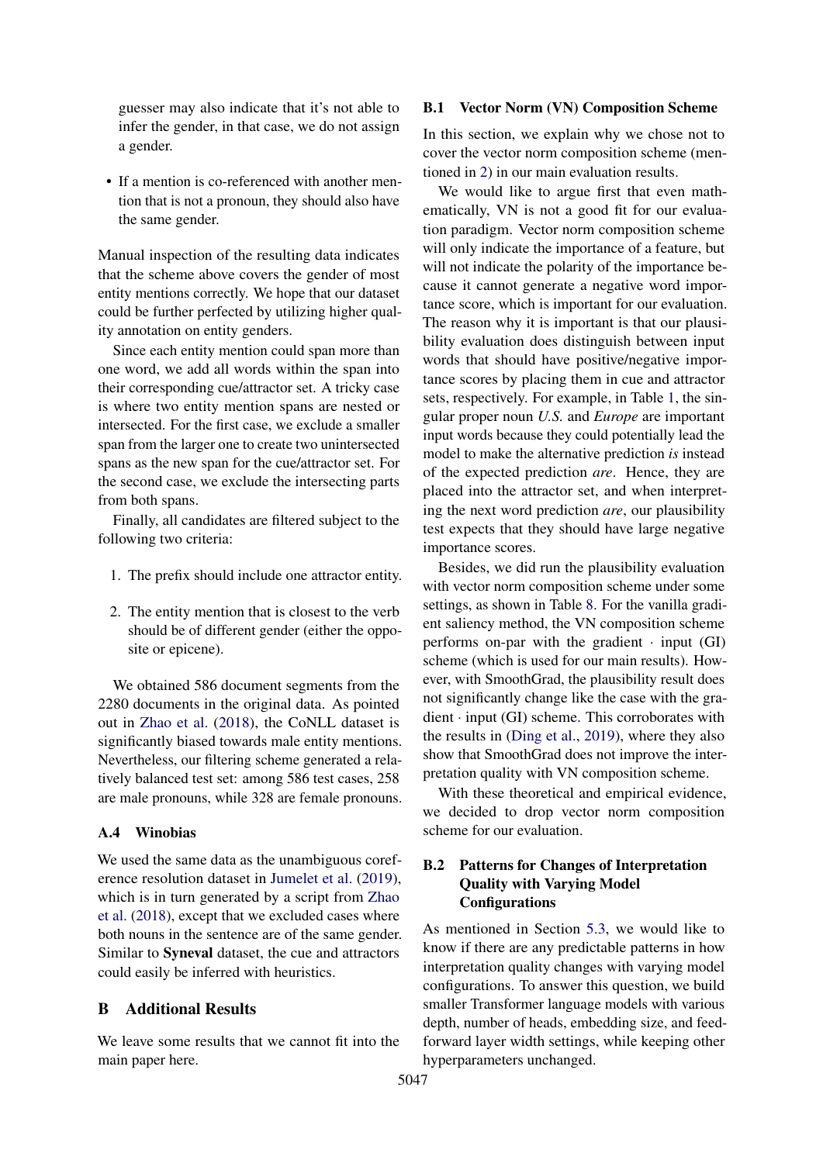guesser may also indicate that it's not able to infer the gender, in that case, we do not assign a gender.

• If a mention is co-referenced with another mention that is not a pronoun, they should also have the same gender.

Manual inspection of the resulting data indicates that the scheme above covers the gender of most entity mentions correctly. We hope that our dataset could be further perfected by utilizing higher quality annotation on entity genders.

Since each entity mention could span more than one word, we add all words within the span into their corresponding cue/attractor set. A tricky case is where two entity mention spans are nested or intersected. For the first case, we exclude a smaller span from the larger one to create two unintersected spans as the new span for the cue/attractor set. For the second case, we exclude the intersecting parts from both spans.

Finally, all candidates are filtered subject to the following two criteria:

- 1. The prefix should include one attractor entity.
- 2. The entity mention that is closest to the verb should be of different gender (either the opposite or epicene).

We obtained 586 document segments from the 2280 documents in the original data. As pointed out in [Zhao et al.](#page-11-1) [\(2018\)](#page-11-1), the CoNLL dataset is significantly biased towards male entity mentions. Nevertheless, our filtering scheme generated a relatively balanced test set: among 586 test cases, 258 are male pronouns, while 328 are female pronouns.

#### A.4 Winobias

We used the same data as the unambiguous coreference resolution dataset in [Jumelet et al.](#page-9-7) [\(2019\)](#page-9-7), which is in turn generated by a script from [Zhao](#page-11-1) [et al.](#page-11-1) [\(2018\)](#page-11-1), except that we excluded cases where both nouns in the sentence are of the same gender. Similar to Syneval dataset, the cue and attractors could easily be inferred with heuristics.

## B Additional Results

We leave some results that we cannot fit into the main paper here.

#### <span id="page-13-0"></span>B.1 Vector Norm (VN) Composition Scheme

In this section, we explain why we chose not to cover the vector norm composition scheme (mentioned in [2\)](#page-1-0) in our main evaluation results.

We would like to argue first that even mathematically, VN is not a good fit for our evaluation paradigm. Vector norm composition scheme will only indicate the importance of a feature, but will not indicate the polarity of the importance because it cannot generate a negative word importance score, which is important for our evaluation. The reason why it is important is that our plausibility evaluation does distinguish between input words that should have positive/negative importance scores by placing them in cue and attractor sets, respectively. For example, in Table [1,](#page-0-0) the singular proper noun *U.S.* and *Europe* are important input words because they could potentially lead the model to make the alternative prediction *is* instead of the expected prediction *are*. Hence, they are placed into the attractor set, and when interpreting the next word prediction *are*, our plausibility test expects that they should have large negative importance scores.

Besides, we did run the plausibility evaluation with vector norm composition scheme under some settings, as shown in Table [8.](#page-14-0) For the vanilla gradient saliency method, the VN composition scheme performs on-par with the gradient  $\cdot$  input (GI) scheme (which is used for our main results). However, with SmoothGrad, the plausibility result does not significantly change like the case with the gra $dient \cdot input (GI) scheme. This corroborates with$ the results in [\(Ding et al.,](#page-9-1) [2019\)](#page-9-1), where they also show that SmoothGrad does not improve the interpretation quality with VN composition scheme.

With these theoretical and empirical evidence, we decided to drop vector norm composition scheme for our evaluation.

## <span id="page-13-1"></span>B.2 Patterns for Changes of Interpretation Quality with Varying Model **Configurations**

As mentioned in Section [5.3,](#page-5-0) we would like to know if there are any predictable patterns in how interpretation quality changes with varying model configurations. To answer this question, we build smaller Transformer language models with various depth, number of heads, embedding size, and feedforward layer width settings, while keeping other hyperparameters unchanged.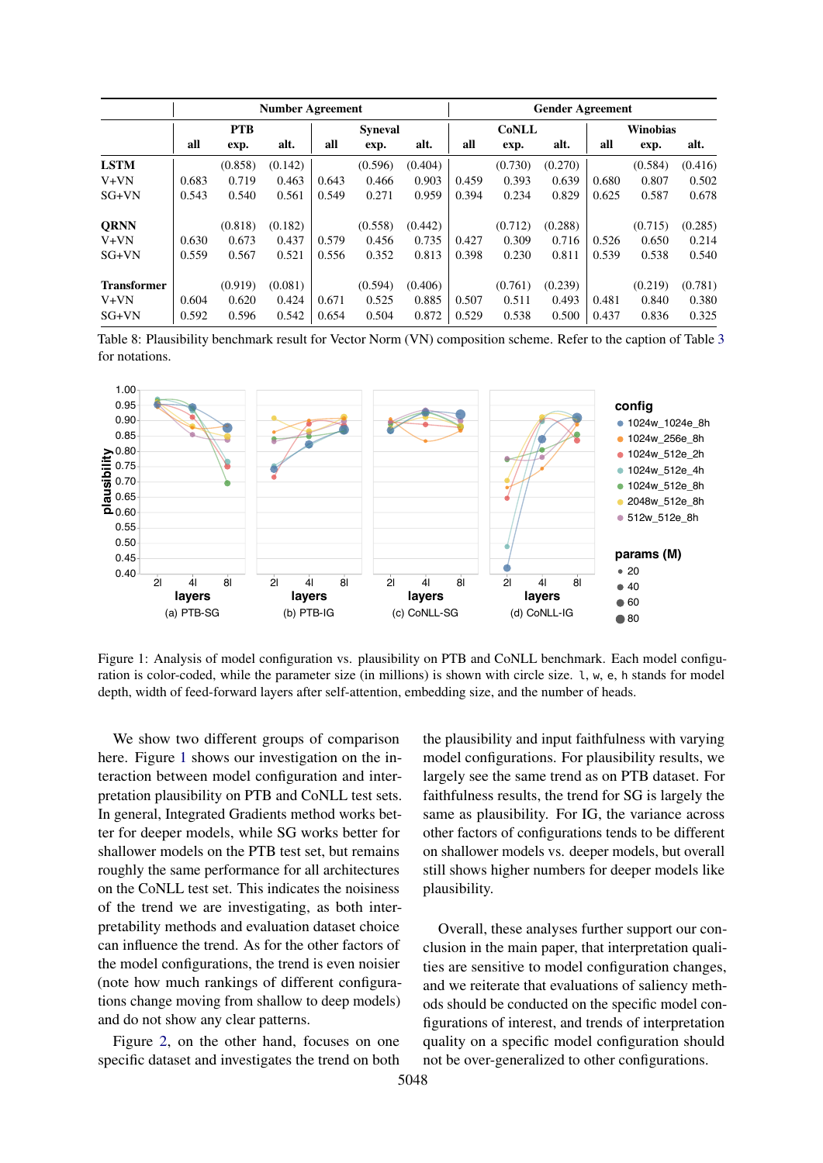<span id="page-14-0"></span>

|                    |       |            | <b>Number Agreement</b> |       |                | <b>Gender Agreement</b> |       |              |         |       |                 |         |
|--------------------|-------|------------|-------------------------|-------|----------------|-------------------------|-------|--------------|---------|-------|-----------------|---------|
|                    |       | <b>PTB</b> |                         |       | <b>Syneval</b> |                         |       | <b>CoNLL</b> |         |       | <b>Winobias</b> |         |
|                    | all   | exp.       | alt.                    | all   | exp.           | alt.                    | all   | exp.         | alt.    | all   | exp.            | alt.    |
| <b>LSTM</b>        |       | (0.858)    | (0.142)                 |       | (0.596)        | (0.404)                 |       | (0.730)      | (0.270) |       | (0.584)         | (0.416) |
| $V+VN$             | 0.683 | 0.719      | 0.463                   | 0.643 | 0.466          | 0.903                   | 0.459 | 0.393        | 0.639   | 0.680 | 0.807           | 0.502   |
| $SG+VN$            | 0.543 | 0.540      | 0.561                   | 0.549 | 0.271          | 0.959                   | 0.394 | 0.234        | 0.829   | 0.625 | 0.587           | 0.678   |
| <b>ORNN</b>        |       | (0.818)    | (0.182)                 |       | (0.558)        | (0.442)                 |       | (0.712)      | (0.288) |       | (0.715)         | (0.285) |
| $V+VN$             | 0.630 | 0.673      | 0.437                   | 0.579 | 0.456          | 0.735                   | 0.427 | 0.309        | 0.716   | 0.526 | 0.650           | 0.214   |
| $SG+VN$            | 0.559 | 0.567      | 0.521                   | 0.556 | 0.352          | 0.813                   | 0.398 | 0.230        | 0.811   | 0.539 | 0.538           | 0.540   |
| <b>Transformer</b> |       | (0.919)    | (0.081)                 |       | (0.594)        | (0.406)                 |       | (0.761)      | (0.239) |       | (0.219)         | (0.781) |
| V+VN               | 0.604 | 0.620      | 0.424                   | 0.671 | 0.525          | 0.885                   | 0.507 | 0.511        | 0.493   | 0.481 | 0.840           | 0.380   |
| $SG+VN$            | 0.592 | 0.596      | 0.542                   | 0.654 | 0.504          | 0.872                   | 0.529 | 0.538        | 0.500   | 0.437 | 0.836           | 0.325   |

Table 8: Plausibility benchmark result for Vector Norm (VN) composition scheme. Refer to the caption of Table [3](#page-4-1) for notations.

<span id="page-14-1"></span>

Figure 1: Analysis of model configuration vs. plausibility on PTB and CoNLL benchmark. Each model configuration is color-coded, while the parameter size (in millions) is shown with circle size. l, w, e, h stands for model depth, width of feed-forward layers after self-attention, embedding size, and the number of heads.

We show two different groups of comparison here. Figure [1](#page-14-1) shows our investigation on the interaction between model configuration and interpretation plausibility on PTB and CoNLL test sets. In general, Integrated Gradients method works better for deeper models, while SG works better for shallower models on the PTB test set, but remains roughly the same performance for all architectures on the CoNLL test set. This indicates the noisiness of the trend we are investigating, as both interpretability methods and evaluation dataset choice can influence the trend. As for the other factors of the model configurations, the trend is even noisier (note how much rankings of different configurations change moving from shallow to deep models) and do not show any clear patterns.

Figure [2,](#page-15-0) on the other hand, focuses on one specific dataset and investigates the trend on both the plausibility and input faithfulness with varying model configurations. For plausibility results, we largely see the same trend as on PTB dataset. For faithfulness results, the trend for SG is largely the same as plausibility. For IG, the variance across other factors of configurations tends to be different on shallower models vs. deeper models, but overall still shows higher numbers for deeper models like plausibility.

Overall, these analyses further support our conclusion in the main paper, that interpretation qualities are sensitive to model configuration changes, and we reiterate that evaluations of saliency methods should be conducted on the specific model configurations of interest, and trends of interpretation quality on a specific model configuration should not be over-generalized to other configurations.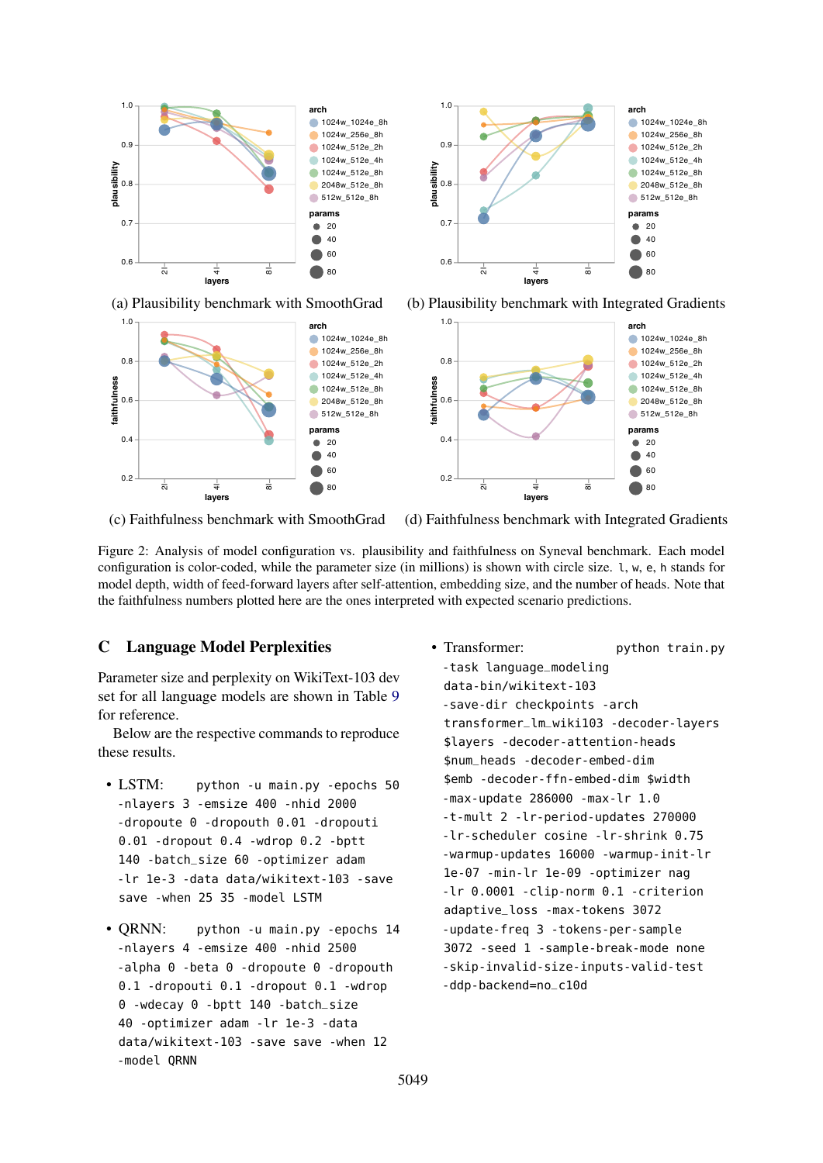<span id="page-15-0"></span>



(a) Plausibility benchmark with SmoothGrad (b) Plausibility benchmark with Integrated Gradients



 $\dot{\overline{\alpha}}$ 

80

(c) Faithfulness benchmark with SmoothGrad (d) Faithfulness benchmark with Integrated Gradients

Figure 2: Analysis of model configuration vs. plausibility and faithfulness on Syneval benchmark. Each model configuration is color-coded, while the parameter size (in millions) is shown with circle size. l, w, e, h stands for model depth, width of feed-forward layers after self-attention, embedding size, and the number of heads. Note that the faithfulness numbers plotted here are the ones interpreted with expected scenario predictions.

## C Language Model Perplexities

<del>च</del><br>layers

 $\frac{1}{2}$ 

0.2

Parameter size and perplexity on WikiText-103 dev set for all language models are shown in Table [9](#page-16-0) for reference.

Below are the respective commands to reproduce these results.

- LSTM: python -u main.py -epochs 50 -nlayers 3 -emsize 400 -nhid 2000 -dropoute 0 -dropouth 0.01 -dropouti 0.01 -dropout 0.4 -wdrop 0.2 -bptt 140 -batch\_size 60 -optimizer adam -lr 1e-3 -data data/wikitext-103 -save save -when 25 35 -model LSTM
- QRNN: python -u main.py -epochs 14 -nlayers 4 -emsize 400 -nhid 2500 -alpha 0 -beta 0 -dropoute 0 -dropouth 0.1 -dropouti 0.1 -dropout 0.1 -wdrop 0 -wdecay 0 -bptt 140 -batch\_size 40 -optimizer adam -lr 1e-3 -data data/wikitext-103 -save save -when 12 -model QRNN
- Transformer: python train.py -task language\_modeling data-bin/wikitext-103 -save-dir checkpoints -arch transformer\_lm\_wiki103 -decoder-layers \$layers -decoder-attention-heads \$num\_heads -decoder-embed-dim \$emb -decoder-ffn-embed-dim \$width -max-update 286000 -max-lr 1.0 -t-mult 2 -lr-period-updates 270000 -lr-scheduler cosine -lr-shrink 0.75 -warmup-updates 16000 -warmup-init-lr 1e-07 -min-lr 1e-09 -optimizer nag -lr 0.0001 -clip-norm 0.1 -criterion adaptive\_loss -max-tokens 3072 -update-freq 3 -tokens-per-sample 3072 -seed 1 -sample-break-mode none -skip-invalid-size-inputs-valid-test -ddp-backend=no\_c10d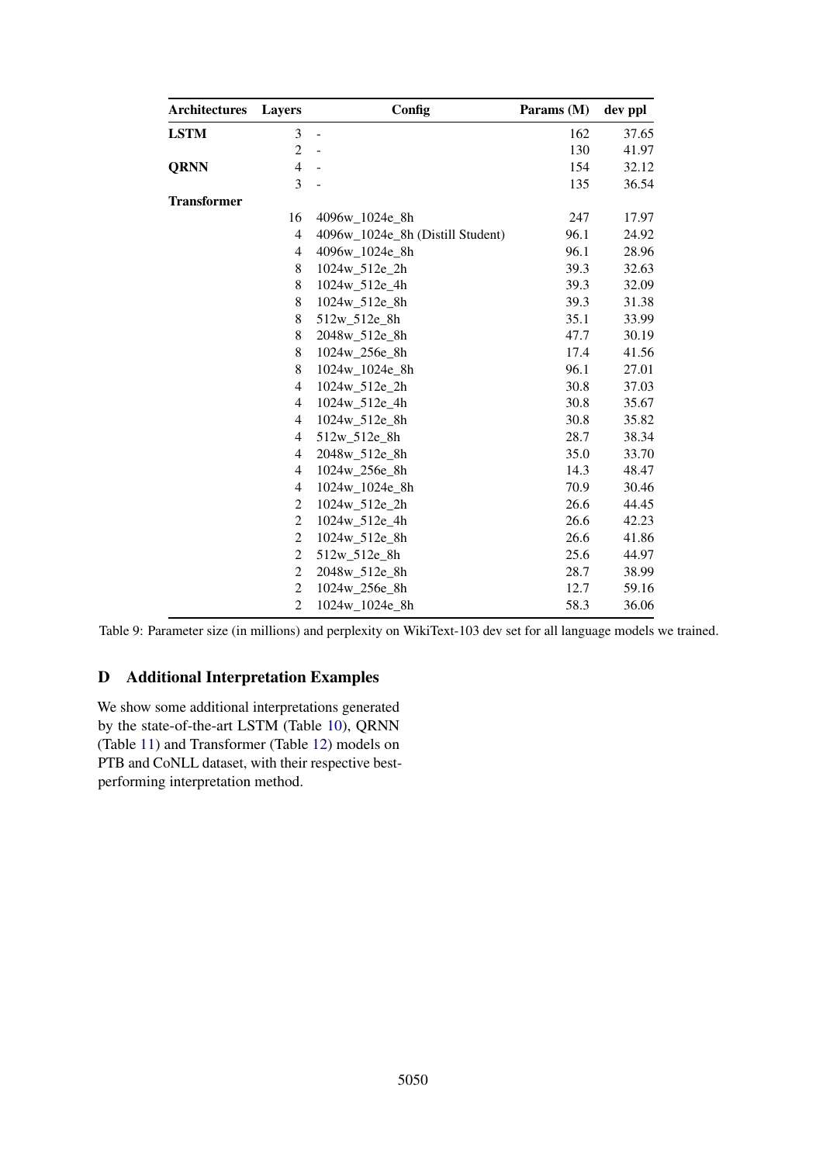<span id="page-16-0"></span>

| Architectures      | Layers         | Config                           | Params (M) | dev ppl |
|--------------------|----------------|----------------------------------|------------|---------|
| <b>LSTM</b>        | 3              | $\overline{a}$                   | 162        | 37.65   |
|                    | $\overline{c}$ | $\frac{1}{2}$                    | 130        | 41.97   |
| <b>QRNN</b>        | $\overline{4}$ | $\overline{a}$                   | 154        | 32.12   |
|                    | 3              | ÷,                               | 135        | 36.54   |
| <b>Transformer</b> |                |                                  |            |         |
|                    | 16             | 4096w 1024e 8h                   | 247        | 17.97   |
|                    | $\overline{4}$ | 4096w_1024e_8h (Distill Student) | 96.1       | 24.92   |
|                    | 4              | 4096w 1024e 8h                   | 96.1       | 28.96   |
|                    | $\,8\,$        | 1024w_512e_2h                    | 39.3       | 32.63   |
|                    | 8              | 1024w 512e 4h                    | 39.3       | 32.09   |
|                    | $\,$ 8 $\,$    | 1024w_512e_8h                    | 39.3       | 31.38   |
|                    | $\,$ 8 $\,$    | 512w_512e_8h                     | 35.1       | 33.99   |
|                    | $\,$ 8 $\,$    | 2048w_512e_8h                    | 47.7       | 30.19   |
|                    | $\,$ 8 $\,$    | 1024w_256e_8h                    | 17.4       | 41.56   |
|                    | $\,$ 8 $\,$    | 1024w_1024e_8h                   | 96.1       | 27.01   |
|                    | $\overline{4}$ | 1024w_512e_2h                    | 30.8       | 37.03   |
|                    | 4              | 1024w_512e_4h                    | 30.8       | 35.67   |
|                    | 4              | 1024w_512e_8h                    | 30.8       | 35.82   |
|                    | 4              | 512w_512e_8h                     | 28.7       | 38.34   |
|                    | 4              | 2048w_512e_8h                    | 35.0       | 33.70   |
|                    | $\overline{4}$ | 1024w 256e 8h                    | 14.3       | 48.47   |
|                    | 4              | 1024w_1024e_8h                   | 70.9       | 30.46   |
|                    | $\overline{2}$ | 1024w_512e_2h                    | 26.6       | 44.45   |
|                    | $\overline{c}$ | 1024w_512e_4h                    | 26.6       | 42.23   |
|                    | $\overline{c}$ | 1024w_512e_8h                    | 26.6       | 41.86   |
|                    | $\overline{c}$ | 512w_512e_8h                     | 25.6       | 44.97   |
|                    | $\overline{c}$ | 2048w_512e_8h                    | 28.7       | 38.99   |
|                    | $\overline{c}$ | 1024w_256e_8h                    | 12.7       | 59.16   |
|                    | $\overline{2}$ | 1024w 1024e 8h                   | 58.3       | 36.06   |

Table 9: Parameter size (in millions) and perplexity on WikiText-103 dev set for all language models we trained.

## D Additional Interpretation Examples

We show some additional interpretations generated by the state-of-the-art LSTM (Table [10\)](#page-17-0), QRNN (Table [11\)](#page-17-1) and Transformer (Table [12\)](#page-18-0) models on PTB and CoNLL dataset, with their respective bestperforming interpretation method.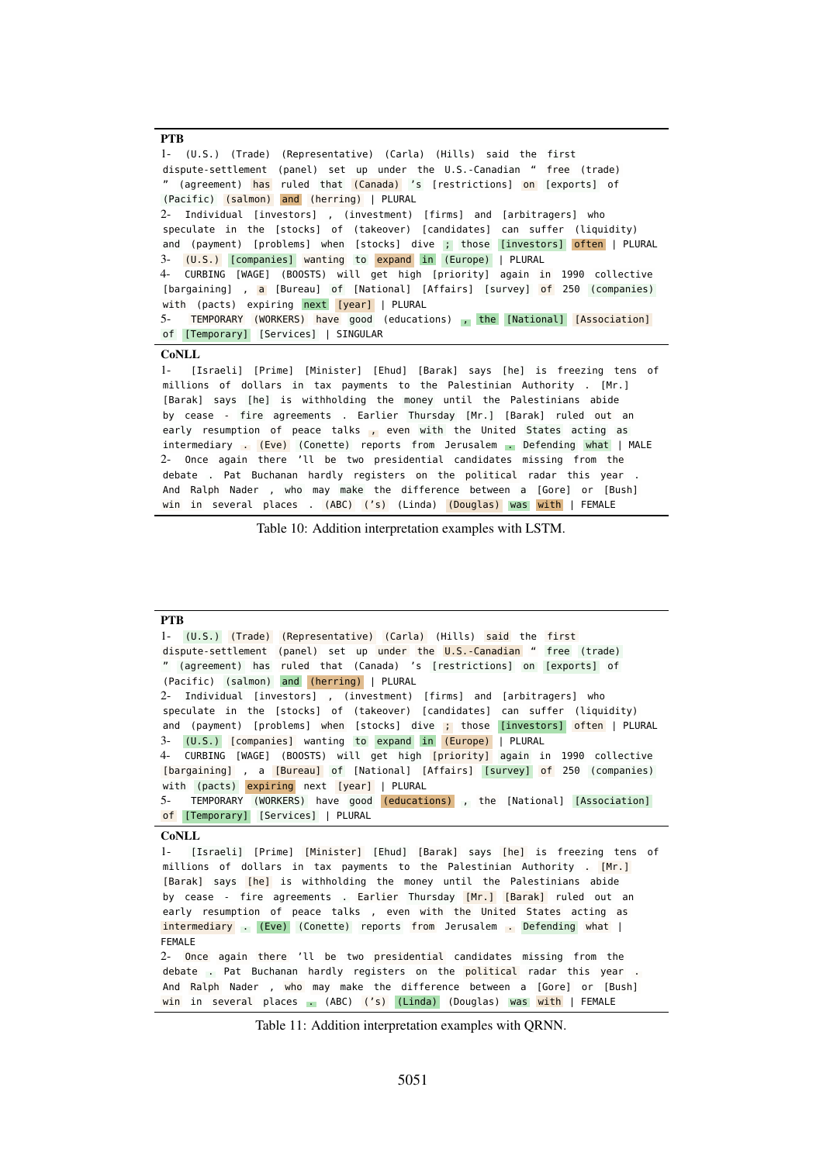```
PTB
1- (U.S.) (Trade) (Representative) (Carla) (Hills) said the first
dispute-settlement (panel) set up under the U.S.-Canadian " free (trade)
" (agreement) has ruled that (Canada) 's [restrictions] on [exports] of
(Pacific) (salmon) and (herring) | PLURAL
2- Individual [investors] , (investment) [firms] and [arbitragers] who
speculate in the [stocks] of (takeover) [candidates] can suffer (liquidity)
and (payment) [problems] when [stocks] dive ; those [investors] often | PLURAL
3- (U.S.) [companies] wanting to expand in (Europe) | PLURAL
4- CURBING [WAGE] (BOOSTS) will get high [priority] again in 1990 collective
[bargaining] , a [Bureau] of [National] [Affairs] [survey] of 250 (companies)
with (pacts) expiring next [year] | PLURAL
5- TEMPORARY (WORKERS) have good (educations) , the [National] [Association]
of [Temporary] [Services] | SINGULAR
CoNLL
1- [Israeli] [Prime] [Minister] [Ehud] [Barak] says [he] is freezing tens of
millions of dollars in tax payments to the Palestinian Authority . [Mr.]
[Barak] says [he] is withholding the money until the Palestinians abide
by cease - fire agreements . Earlier Thursday [Mr.] [Barak] ruled out an
early resumption of peace talks , even with the United States acting as
intermediary . (Eve) (Conette) reports from Jerusalem . Defending what | MALE
```
2- Once again there 'll be two presidential candidates missing from the debate . Pat Buchanan hardly registers on the political radar this year And Ralph Nader , who may make the difference between a [Gore] or [Bush] win in several places . (ABC) ('s) (Linda) (Douglas) was with | FEMALE

Table 10: Addition interpretation examples with LSTM.

<span id="page-17-1"></span>

| <b>PTB</b>                                                                     |
|--------------------------------------------------------------------------------|
| 1- (U.S.) (Trade) (Representative) (Carla) (Hills) said the first              |
| dispute-settlement (panel) set up under the $U.S.$ -Canadian " free (trade)    |
| " (agreement) has ruled that (Canada) 's [restrictions] on [exports] of        |
| (Pacific) (salmon) and (herring)   PLURAL                                      |
| 2- Individual [investors], (investment) [firms] and [arbitragers] who          |
| speculate in the [stocks] of (takeover) [candidates] can suffer (liquidity)    |
| and (payment) [problems] when [stocks] dive ; those [investors] often   PLURAL |
| 3- (U.S.) [companies] wanting to expand in (Europe)   PLURAL                   |
| 4- CURBING [WAGE] (BOOSTS) will get high [priority] again in 1990 collective   |
| [bargaining], a [Bureau] of [National] [Affairs] [survey] of 250 (companies)   |
| with (pacts) expiring next [year]   PLURAL                                     |
| 5- TEMPORARY (WORKERS) have good (educations), the [National] [Association]    |
| of [Temporary] [Services]   PLURAL                                             |
| <b>CoNLL</b>                                                                   |
| 1- [Israeli] [Prime] [Minister] [Ehud] [Barak] says [he] is freezing tens of   |
| millions of dollars in tax payments to the Palestinian Authority . [Mr.]       |
| [Barak] says [he] is withholding the money until the Palestinians abide        |
| by cease - fire agreements . Earlier Thursday [Mr.] [Barak] ruled out an       |
| early resumption of peace talks, even with the United States acting as         |
| intermediary (Eve) (Conette) reports from Jerusalem Defending what             |
| <b>FEMALE</b>                                                                  |
| 2- Once again there 'll be two presidential candidates missing from the        |
| debate . Pat Buchanan hardly registers on the political radar this year.       |
| And Ralph Nader, who may make the difference between a [Gore] or [Bush]        |
|                                                                                |

Table 11: Addition interpretation examples with QRNN.

win in several places . (ABC) ('s) (Linda) (Douglas) was with | FEMALE